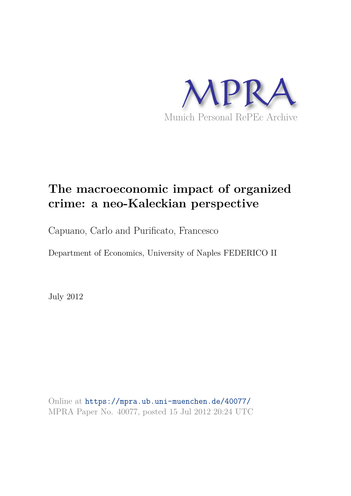

# **The macroeconomic impact of organized crime: a neo-Kaleckian perspective**

Capuano, Carlo and Purificato, Francesco

Department of Economics, University of Naples FEDERICO II

July 2012

Online at https://mpra.ub.uni-muenchen.de/40077/ MPRA Paper No. 40077, posted 15 Jul 2012 20:24 UTC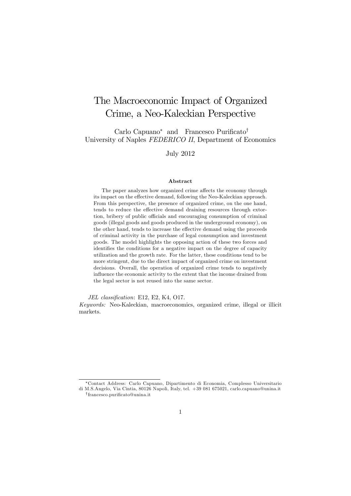## The Macroeconomic Impact of Organized Crime, a Neo-Kaleckian Perspective

Carlo Capuano<sup>\*</sup> and Francesco Purificato<sup>†</sup> University of Naples FEDERICO II, Department of Economics

**July 2012** 

### Abstract

The paper analyzes how organized crime affects the economy through its impact on the effective demand, following the Neo-Kaleckian approach. From this perspective, the presence of organized crime, on the one hand, tends to reduce the effective demand draining resources through extortion, bribery of public officials and encouraging consumption of criminal goods (illegal goods and goods produced in the underground economy), on the other hand, tends to increase the effective demand using the proceeds of criminal activity in the purchase of legal consumption and investment goods. The model highlights the opposing action of these two forces and identifies the conditions for a negative impact on the degree of capacity utilization and the growth rate. For the latter, these conditions tend to be more stringent, due to the direct impact of organized crime on investment decisions. Overall, the operation of organized crime tends to negatively influence the economic activity to the extent that the income drained from the legal sector is not reused into the same sector.

JEL classification: E12, E2, K4, O17.

Keywords: Neo-Kaleckian, macroeconomics, organized crime, illegal or illicit markets.

<sup>\*</sup>Contact Address: Carlo Capuano, Dipartimento di Economia, Complesso Universitario di M.S.Angelo, Via Cintia, 80126 Napoli, Italy, tel. +39 081 675021, carlo.capuano@unina.it <sup>†</sup>francesco.purificato@unina.it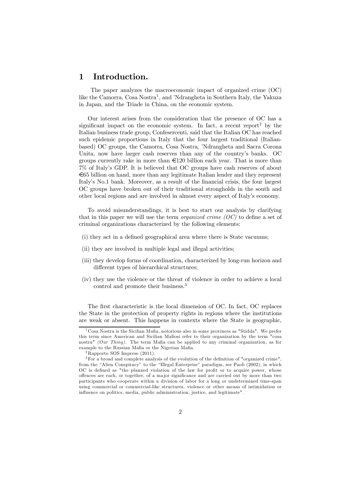#### Introduction.  $\mathbf{1}$

The paper analyzes the macroeconomic impact of organized crime (OC) like the Camorra, Cosa Nostra<sup>1</sup>, and 'Ndrangheta in Southern Italy, the Yakuza in Japan, and the Triade in China, on the economic system.

Our interest arises from the consideration that the presence of OC has a significant impact on the economic system. In fact, a recent report<sup>2</sup> by the Italian business trade group, Confesercenti, said that the Italian OC has reached such epidemic proportions in Italy that the four largest traditional (Italianbased) OC groups, the Camorra, Cosa Nostra, 'Ndrangheta and Sacra Corona Unita, now have larger cash reserves than any of the country's banks. OC groups currently rake in more than  $\epsilon$ 120 billion each year. That is more than 7% of Italy's GDP. It is believed that OC groups have cash reserves of about  $\epsilon$  is billion on hand, more than any legitimate Italian lender and they represent Italy's No.1 bank. Moreover, as a result of the financial crisis, the four largest OC groups have broken out of their traditional strongholds in the south and other local regions and are involved in almost every aspect of Italy's economy.

To avoid misunderstandings, it is best to start our analysis by clarifying that in this paper we will use the term *organized crime (OC)* to define a set of criminal organizations characterized by the following elements:

- (i) they act in a defined geographical area where there is State vacuums;
- (ii) they are involved in multiple legal and illegal activities;
- (iii) they develop forms of coordination, characterized by long-run horizon and different types of hierarchical structures;
- (iv) they use the violence or the threat of violence in order to achieve a local control and promote their business.<sup>3</sup>

The first characteristic is the local dimension of OC. In fact, OC replaces the State in the protection of property rights in regions where the institutions are weak or absent. This happens in contexts where the State is geographic,

 $1$ Cosa Nostra is the Sicilian Mafia, notorious also in some provinces as "Stidda". We prefer this term since American and Sicilian Mafiosi refer to their organization by the term "cosa nostra" (Our Thing). The term Mafia can be applied to any criminal organization, as for example to the Russian Mafia or the Nigerian Mafia.

 $2$ Rapporto SOS Imprese (2011).

<sup>&</sup>lt;sup>3</sup>For a broad and complete analysis of the evolution of the definition of "organized crime". from the "Alien Conspiracy" to the "Illegal Enterprise" paradigm, see Paoli (2002), in which OC is defined as "the planned violation of the law for profit or to acquire power, whose offences are each, or together, of a major significance and are carried out by more than two participants who cooperate within a division of labor for a long or undetermined time-span using commercial or commercial-like structures, violence or other means of intimidation or influence on politics, media, public administration, justice, and legitimate".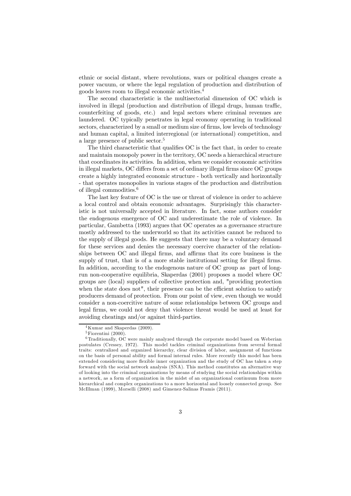ethnic or social distant, where revolutions, wars or political changes create a power vacuum, or where the legal regulation of production and distribution of goods leaves room to illegal economic activities.<sup>4</sup>

The second characteristic is the multisectorial dimension of OC which is involved in illegal (production and distribution of illegal drugs, human traffic, counterfeiting of goods, etc.) and legal sectors where criminal revenues are laundered. OC typically penetrates in legal economy operating in traditional sectors, characterized by a small or medium size of firms, low levels of technology and human capital, a limited interregional (or international) competition, and a large presence of public sector.<sup>5</sup>

The third characteristic that qualifies OC is the fact that, in order to create and maintain monopoly power in the territory, OC needs a hierarchical structure that coordinates its activities. In addition, when we consider economic activities in illegal markets, OC differs from a set of ordinary illegal firms since OC groups create a highly integrated economic structure - both vertically and horizontally - that operates monopolies in various stages of the production and distribution of illegal commodities. $6$ 

The last key feature of OC is the use or threat of violence in order to achieve a local control and obtain economic advantages. Surprisingly this characteristic is not universally accepted in literature. In fact, some authors consider the endogenous emergence of OC and underestimate the role of violence. In particular, Gambetta (1993) argues that OC operates as a governance structure mostly addressed to the underworld so that its activities cannot be reduced to the supply of illegal goods. He suggests that there may be a voluntary demand for these services and denies the necessary coercive character of the relationships between OC and illegal firms, and affirms that its core business is the supply of trust, that is of a more stable institutional setting for illegal firms. In addition, according to the endogenous nature of OC group as part of longrun non-cooperative equilibria, Skaperdas (2001) proposes a model where OC groups are (local) suppliers of collective protection and, "providing protection when the state does not", their presence can be the efficient solution to satisfy producers demand of protection. From our point of view, even though we would consider a non-coercitive nature of some relationships between OC groups and legal firms, we could not deny that violence threat would be used at least for avoiding cheatings and/or against third-parties.

 $4$ Kumar and Skaperdas  $(2009)$ .

 $5$ Fiorentini (2000)

 ${}^{6}$ Traditionally, OC were mainly analyzed through the corporate model based on Weberian postulates (Cressey, 1972). This model tackles criminal organizations from several formal traits: centralized and organized hierarchy, clear division of labor, assignment of functions on the basis of personal ability and formal internal rules. More recently this model has been extended considering more flexible inner organization and the study of OC has taken a step forward with the social network analysis (SNA). This method constitutes an alternative way of looking into the criminal organizations by means of studying the social relationships within a network, as a form of organization in the midst of an organizational continuum from more hierarchical and complex organizations to a more horizontal and loosely connected group. See McIllman (1999), Morselli (2008) and Gimenez-Salinas Framis (2011).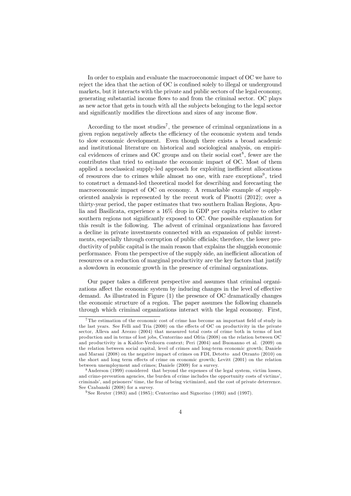In order to explain and evaluate the macroeconomic impact of OC we have to reject the idea that the action of OC is confined solely to illegal or underground markets, but it interacts with the private and public sectors of the legal economy, generating substantial income flows to and from the criminal sector. OC plays as new actor that gets in touch with all the subjects belonging to the legal sector and significantly modifies the directions and sizes of any income flow.

According to the most studies<sup>7</sup>, the presence of criminal organizations in a given region negatively affects the efficiency of the economic system and tends to slow economic development. Even though there exists a broad academic and institutional literature on historical and sociological analysis, on empirical evidences of crimes and OC groups and on their social cost<sup>8</sup>, fewer are the contributes that tried to estimate the economic impact of OC. Most of them applied a neoclassical supply-led approach for exploiting inefficient allocations of resources due to crimes while almost no one, with rare exceptions<sup>9</sup>, tried to construct a demand-led theoretical model for describing and forecasting the macroeconomic impact of OC on economy. A remarkable example of supplyoriented analysis is represented by the recent work of Pinotti (2012); over a thirty-year period, the paper estimates that two southern Italian Regions, Apulia and Basilicata, experience a 16% drop in GDP per capita relative to other southern regions not significantly exposed to OC. One possible explanation for this result is the following. The advent of criminal organizations has favored a decline in private investments connected with an expansion of public investments, especially through corruption of public officials; therefore, the lower productivity of public capital is the main reason that explains the sluggish economic performance. From the perspective of the supply side, an inefficient allocation of resources or a reduction of marginal productivity are the key factors that justify a slowdown in economic growth in the presence of criminal organizations.

Our paper takes a different perspective and assumes that criminal organizations affect the economic system by inducing changes in the level of effective demand. As illustrated in Figure  $(1)$  the presence of OC dramatically changes the economic structure of a region. The paper assumes the following channels through which criminal organizations interact with the legal economy. First,

<sup>&</sup>lt;sup>7</sup>The estimation of the economic cost of crime has become an important field of study in the last years. See Felli and Tria (2000) on the effects of OC on productivity in the private sector, Alleva and Arezzo (2004) that measured total costs of crime both in terms of lost production and in terms of lost jobs, Centorrino and Ofria (2008) on the relation between OC and productivity in a Kaldor-Verdoorn context; Peri (2004) and Buonanno et al. (2009) on the relation between social capital, level of crimes and long-term economic growth; Daniele and Marani (2008) on the negative impact of crimes on FDI, Detotto and Otranto (2010) on the short and long term effects of crime on economic growth; Levitt (2001) on the relation between unemployment and crimes; Daniele (2009) for a survey.

<sup>&</sup>lt;sup>8</sup> Anderson (1999) considered that beyond the expenses of the legal system, victim losses, and crime-prevention agencies, the burden of crime includes the opportunity costs of victims' criminals', and prisoners' time, the fear of being victimized, and the cost of private deterrence. See Czabanski (2008) for a survey.

<sup>&</sup>lt;sup>9</sup>See Reuter (1983) and (1985); Centorrino and Signorino (1993) and (1997).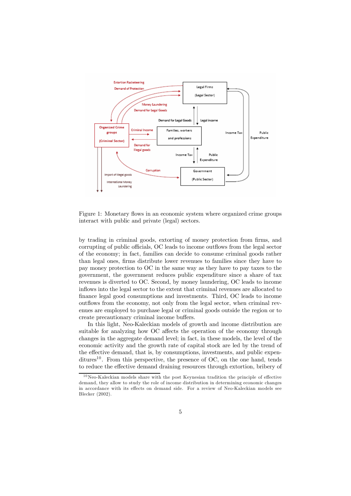

Figure 1: Monetary flows in an economic system where organized crime groups interact with public and private (legal) sectors.

by trading in criminal goods, extorting of money protection from firms, and corrupting of public officials, OC leads to income outflows from the legal sector of the economy; in fact, families can decide to consume criminal goods rather than legal ones, firms distribute lower revenues to families since they have to pay money protection to OC in the same way as they have to pay taxes to the government, the government reduces public expenditure since a share of tax revenues is diverted to OC. Second, by money laundering, OC leads to income inflows into the legal sector to the extent that criminal revenues are allocated to finance legal good consumptions and investments. Third, OC leads to income outflows from the economy, not only from the legal sector, when criminal revenues are employed to purchase legal or criminal goods outside the region or to create precautionary criminal income buffers.

In this light, Neo-Kaleckian models of growth and income distribution are suitable for analyzing how OC affects the operation of the economy through changes in the aggregate demand level; in fact, in these models, the level of the economic activity and the growth rate of capital stock are led by the trend of the effective demand, that is, by consumptions, investments, and public expenditures<sup>10</sup>. From this perspective, the presence of OC, on the one hand, tends to reduce the effective demand draining resources through extortion, bribery of

 $10$ Neo-Kaleckian models share with the post Keynesian tradition the principle of effective demand, they allow to study the role of income distribution in determining economic changes in accordance with its effects on demand side. For a review of Neo-Kaleckian models see Blecker (2002).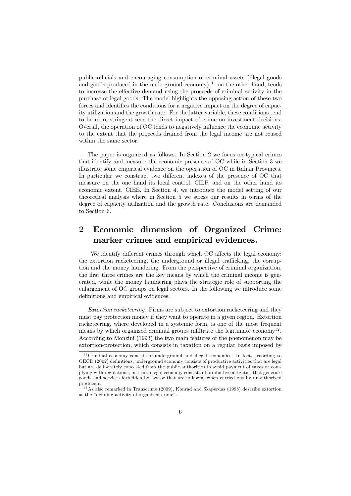public officials and encouraging consumption of criminal assets (illegal goods and goods produced in the underground economy $)^{11}$ , on the other hand, tends to increase the effective demand using the proceeds of criminal activity in the purchase of legal goods. The model highlights the opposing action of these two forces and identifies the conditions for a negative impact on the degree of capacity utilization and the growth rate. For the latter variable, these conditions tend to be more stringent seen the direct impact of crime on investment decisions. Overall, the operation of OC tends to negatively influence the economic activity to the extent that the proceeds drained from the legal income are not reused within the same sector.

The paper is organized as follows. In Section 2 we focus on typical crimes that identify and measure the economic presence of OC while in Section 3 we illustrate some empirical evidence on the operation of OC in Italian Provinces. In particular we construct two different indexes of the presence of OC that measure on the one hand its local control, CILP, and on the other hand its economic extent, CIEE. In Section 4, we introduce the model setting of our theoretical analysis where in Section 5 we stress our results in terms of the degree of capacity utilization and the growth rate. Conclusions are demanded to Section 6.

## $\overline{2}$ Economic dimension of Organized Crime: marker crimes and empirical evidences.

We identify different crimes through which OC affects the legal economy: the extortion racketeering, the underground or illegal trafficking, the corruption and the money laundering. From the perspective of criminal organization, the first three crimes are the key means by which the criminal income is generated, while the money laundering plays the strategic role of supporting the enlargement of OC groups on legal sectors. In the following we introduce some definitions and empirical evidences.

*Extortion racketeering.* Firms are subject to extortion racketeering and they must pay protection money if they want to operate in a given region. Extortion racketeering, where developed in a systemic form, is one of the most frequent means by which organized criminal groups infiltrate the legitimate economy<sup>12</sup>. According to Monzini (1993) the two main features of the phenomenon may be extortion-protection, which consists in taxation on a regular basis imposed by

<sup>&</sup>lt;sup>11</sup>Criminal economy consists of underground and illegal economies. In fact, according to OECD (2002) definitions, underground economy consists of productive activities that are legal but are deliberately concealed from the public authorities to avoid payment of taxes or complying with regulations; instead, illegal economy consists of productive activities that generate goods and services forbidden by law or that are unlawful when carried out by unauthorized producers.

 $12$  As also remarked in Transcrime (2009), Konrad and Skaperdas (1998) describe extortion as the "defining activity of organized crime".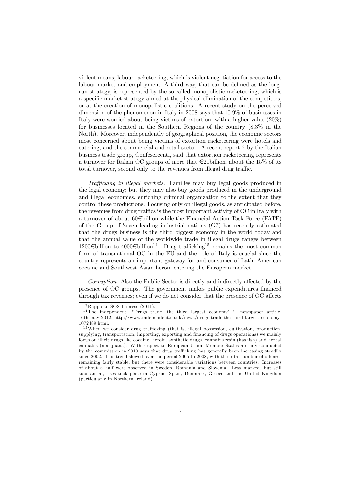violent means; labour racketeering, which is violent negotiation for access to the labour market and employment. A third way, that can be defined as the longrun strategy, is represented by the so-called monopolistic racketeering, which is a specific market strategy aimed at the physical elimination of the competitors, or at the creation of monopolistic coalitions. A recent study on the perceived dimension of the phenomenon in Italy in  $2008$  says that  $10.9\%$  of businesses in Italy were worried about being victims of extortion, with a higher value  $(20\%)$ for businesses located in the Southern Regions of the country  $(8.3\%$  in the North). Moreover, independently of geographical position, the economic sectors most concerned about being victims of extortion racketeering were hotels and catering, and the commercial and retail sector. A recent report  $13$  by the Italian business trade group, Confeser centi, said that extortion racketeering represents a turnover for Italian OC groups of more that  $\in$ 21billion, about the 15% of its total turnover, second only to the revenues from illegal drug traffic.

Trafficking in illegal markets. Families may buy legal goods produced in the legal economy; but they may also buy goods produced in the underground and illegal economies, enriching criminal organization to the extent that they control these productions. Focusing only on illegal goods, as anticipated before, the revenues from drug traffics is the most important activity of OC in Italy with a turnover of about 60  $\bigoplus$  billion while the Financial Action Task Force (FATF) of the Group of Seven leading industrial nations  $(G7)$  has recently estimated that the drugs business is the third biggest economy in the world today and that the annual value of the worldwide trade in illegal drugs ranges between 1200€ billion to 4000€ billion<sup>14</sup>. Drug trafficking<sup>15</sup> remains the most common form of transnational OC in the EU and the role of Italy is crucial since the country represents an important gateway for and consumer of Latin American cocaine and Southwest Asian heroin entering the European market.

Corruption. Also the Public Sector is directly and indirectly affected by the presence of OC groups. The government makes public expenditures financed through tax revenues; even if we do not consider that the presence of OC affects

 $13$ Rapporto SOS Imprese (2011).

<sup>&</sup>lt;sup>14</sup>The independent, "Drugs trade 'the third largest economy' ", newspaper article, 16th may 2012, http://www.independent.co.uk/news/drugs-trade-the-third-largest-economy- $1072489$  html

<sup>&</sup>lt;sup>15</sup>When we consider drug trafficking (that is, illegal possession, cultivation, production, supplying, transportation, importing, exporting and financing of drugs operations) we mainly focus on illicit drugs like cocaine, heroin, synthetic drugs, cannabis resin (hashish) and herbal cannabis (marijuana). With respect to European Union Member States a study conducted by the commission in 2010 says that drug trafficking has generally been increasing steadily since 2002. This trend slowed over the period 2005 to 2008, with the total number of offences remaining fairly stable, but there were considerable variations between countries. Increases of about a half were observed in Sweden, Romania and Slovenia. Less marked, but still substantial, rises took place in Cyprus, Spain, Denmark, Greece and the United Kingdom (particularly in Northern Ireland).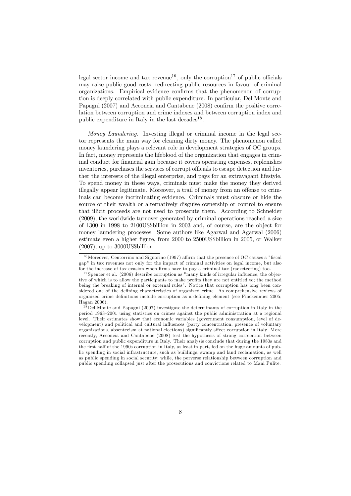legal sector income and tax revenue<sup>16</sup>, only the corruption<sup>17</sup> of public officials may raise public good costs, redirecting public resources in favour of criminal organizations. Empirical evidence confirms that the phenomenon of corruption is deeply correlated with public expenditure. In particular, Del Monte and Papagni (2007) and Acconcia and Cantabene (2008) confirm the positive correlation between corruption and crime indexes and between corruption index and public expenditure in Italy in the last decades  $18$ .

Money Laundering. Investing illegal or criminal income in the legal sector represents the main way for cleaning dirty money. The phenomenon called money laundering plays a relevant role in development strategies of OC groups. In fact, money represents the lifeblood of the organization that engages in criminal conduct for financial gain because it covers operating expenses, replenishes inventories, purchases the services of corrupt officials to escape detection and furthere the interests of the illegal enterprise, and pays for an extravagant lifestyle. To spend money in these ways, criminals must make the money they derived illegally appear legitimate. Moreover, a trail of money from an offense to criminals can become incriminating evidence. Criminals must obscure or hide the source of their wealth or alternatively disguise ownership or control to ensure that illicit proceeds are not used to prosecute them. According to Schneider  $(2009)$ , the worldwide turnover generated by criminal operations reached a size of 1300 in 1998 to 2100US\$billion in 2003 and, of course, are the object for money laundering processes. Some authors like Agarwal and Agarwal (2006) estimate even a higher figure, from 2000 to 2500US\$billion in 2005, or Walker  $(2007)$ , up to 3000US\$billion.

 $^{16}$  Moreover, Centorrino and Signorino (1997) affirm that the presence of OC causes a "fiscal gap" in tax revenues not only for the impact of criminal activities on legal income, but also for the increase of tax evasion when firms have to pay a criminal tax (racketeering) too.

 $17$  Spencer et al. (2006) describe corruption as "many kinds of irregular influence, the objective of which is to allow the participants to make profits they are not entitled to; the method being the breaking of internal or external rules". Notice that corruption has long been considered one of the defining characteristics of organized crime. As comprehensive reviews of organized crime definitions include corruption as a defining element (see Finckenauer 2005; Hagan 2006).

 $^{18}$ Del Monte and Papagni (2007) investigate the determinants of corruption in Italy in the period 1963–2001 using statistics on crimes against the public administration at a regional level. Their estimates show that economic variables (government consumption, level of development) and political and cultural influences (party concentration, presence of voluntary organizations, absenteeism at national elections) significantly affect corruption in Italy. More recently, Acconcia and Cantabene (2008) test the hypothesis of strong correlation between corruption and public expenditure in Italy. Their analysis conclude that during the 1980s and the first half of the 1990s corruption in Italy, at least in part, fed on the huge amounts of public spending in social infrastructure, such as buildings, swamp and land reclamation, as well as public spending in social security; while, the perverse relationship between corruption and public spending collapsed just after the prosecutions and convictions related to Mani Pulite.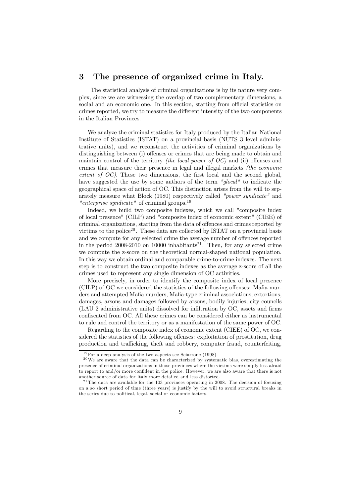#### The presence of organized crime in Italy.  $\bf{3}$

The statistical analysis of criminal organizations is by its nature very complex, since we are witnessing the overlap of two complementary dimensions, a social and an economic one. In this section, starting from official statistics on crimes reported, we try to measure the different intensity of the two components in the Italian Provinces.

We analyze the criminal statistics for Italy produced by the Italian National Institute of Statistics (ISTAT) on a provincial basis (NUTS 3 level administrative units), and we reconstruct the activities of criminal organizations by distinguishing between (i) offenses or crimes that are being made to obtain and maintain control of the territory *(the local power of OC)* and (ii) offenses and crimes that measure their presence in legal and illegal markets *(the economic extent of OC*). These two dimensions, the first local and the second global, have suggested the use by some authors of the term  $"glocal"$  to indicate the geographical space of action of OC. This distinction arises from the will to separately measure what Block (1980) respectively called "power syndicate" and "enterprise syndicate" of criminal groups.<sup>19</sup>

Indeed, we build two composite indexes, which we call "composite index of local presence" (CILP) and "composite index of economic extent" (CIEE) of criminal organizations, starting from the data of offences and crimes reported by victims to the police<sup>20</sup>. These data are collected by ISTAT on a provincial basis and we compute for any selected crime the average number of offences reported in the period 2008-2010 on 10000 inhabitants<sup>21</sup>. Then, for any selected crime we compute the z-score on the theoretical normal-shaped national population. In this way we obtain ordinal and comparable crime-to-crime indexes. The next step is to construct the two composite indexes as the average z-score of all the crimes used to represent any single dimension of OC activities.

More precisely, in order to identify the composite index of local presence (CILP) of OC we considered the statistics of the following offenses: Mafia murders and attempted Mafia murders, Mafia-type criminal associations, extortions, damages, arsons and damages followed by arsons, bodily injuries, city councils (LAU 2 administrative units) dissolved for infiltration by OC, assets and firms confiscated from OC. All these crimes can be considered either as instrumental to rule and control the territory or as a manifestation of the same power of OC.

Regarding to the composite index of economic extent (CIEE) of OC, we considered the statistics of the following offenses: exploitation of prostitution, drug production and trafficking, theft and robbery, computer fraud, counterfeiting,

 $19$  For a deep analysis of the two aspects see Sciarrone (1998).

 $^{20}$ We are aware that the data can be characterized by systematic bias, overestimating the presence of criminal organizations in those provinces where the victims were simply less afraid to report to and/or more confident in the police. However, we are also aware that there is not another source of data for Italy more detailed and less distorted.

<sup>&</sup>lt;sup>21</sup>The data are available for the 103 provinces operating in 2008. The decision of focusing on a so short period of time (three years) is justify by the will to avoid structural breaks in the series due to political, legal, social or economic factors.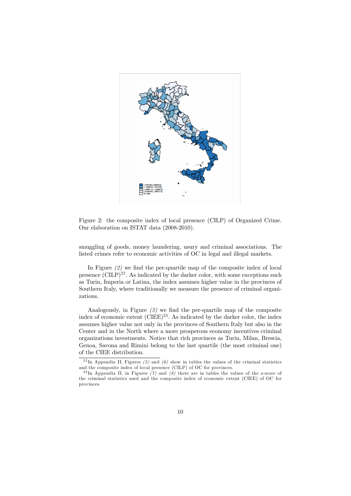

Figure 2: the composite index of local presence (CILP) of Organized Crime. Our elaboration on ISTAT data (2008-2010).

smuggling of goods, money laundering, usury and criminal associations. The listed crimes refer to economic activities of OC in legal and illegal markets.

In Figure  $(2)$  we find the per-quartile map of the composite index of local presence  $(CILP)^{22}$ . As indicated by the darker color, with some exceptions such as Turin, Imperia or Latina, the index assumes higher value in the provinces of Southern Italy, where traditionally we measure the presence of criminal organizations.

Analogously, in Figure  $(3)$  we find the per-quartile map of the composite index of economic extent  $(CIEE)^{23}$ . As indicated by the darker color, the index assumes higher value not only in the provinces of Southern Italy but also in the Center and in the North where a more prosperous economy incentives criminal organizations investments. Notice that rich provinces as Turin, Milan, Brescia, Genoa, Savona and Rimini belong to the last quartile (the most criminal one) of the CIEE distribution.

 $^{22}$ In Appendix II, Figures (5) and (6) show in tables the values of the criminal statistics and the composite index of local presence (CILP) of OC for provinces.<br><sup>23</sup>In Appendix II, in Figures (7) and (8) there are in tables the values of the z-score of

the criminal statistics used and the composite index of economic extent (CIEE) of OC for provinces.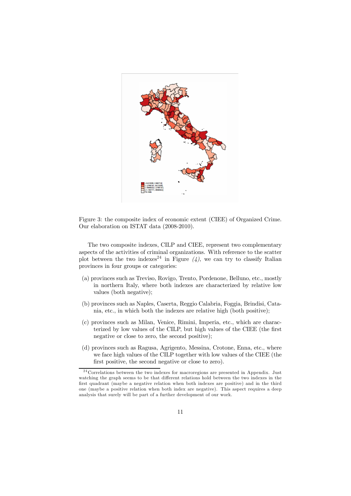

Figure 3: the composite index of economic extent (CIEE) of Organized Crime. Our elaboration on ISTAT data (2008-2010).

The two composite indexes, CILP and CIEE, represent two complementary aspects of the activities of criminal organizations. With reference to the scatter plot between the two indexes<sup>24</sup> in Figure (4), we can try to classify Italian provinces in four groups or categories:

- (a) provinces such as Treviso, Rovigo, Trento, Pordenone, Belluno, etc., mostly in northern Italy, where both indexes are characterized by relative low values (both negative);
- (b) provinces such as Naples, Caserta, Reggio Calabria, Foggia, Brindisi, Catania, etc., in which both the indexes are relative high (both positive);
- (c) provinces such as Milan, Venice, Rimini, Imperia, etc., which are characterized by low values of the CILP, but high values of the CIEE (the first negative or close to zero, the second positive);
- (d) provinces such as Ragusa, Agrigento, Messina, Crotone, Enna, etc., where we face high values of the CILP together with low values of the CIEE (the first positive, the second negative or close to zero).

 $24$  Correlations between the two indexes for macroregions are presented in Appendix. Just watching the graph seems to be that different relations hold between the two indexes in the first quadrant (maybe a negative relation when both indexes are positive) and in the third one (maybe a positive relation when both index are negative). This aspect requires a deep analysis that surely will be part of a further development of our work.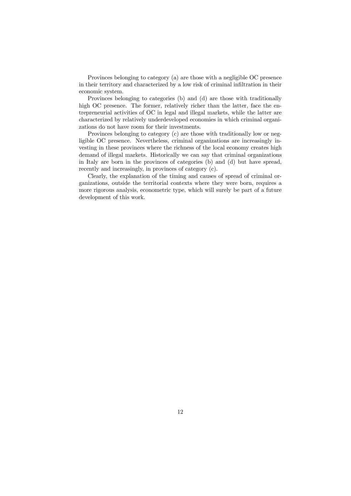Provinces belonging to category (a) are those with a negligible OC presence in their territory and characterized by a low risk of criminal infiltration in their economic system.

Provinces belonging to categories (b) and (d) are those with traditionally high OC presence. The former, relatively richer than the latter, face the entrepreneurial activities of OC in legal and illegal markets, while the latter are characterized by relatively underdeveloped economies in which criminal organizations do not have room for their investments.

Provinces belonging to category (c) are those with traditionally low or negligible OC presence. Nevertheless, criminal organizations are increasingly investing in these provinces where the richness of the local economy creates high demand of illegal markets. Historically we can say that criminal organizations in Italy are born in the provinces of categories (b) and (d) but have spread, recently and increasingly, in provinces of category (c).

Clearly, the explanation of the timing and causes of spread of criminal organizations, outside the territorial contexts where they were born, requires a more rigorous analysis, econometric type, which will surely be part of a future development of this work.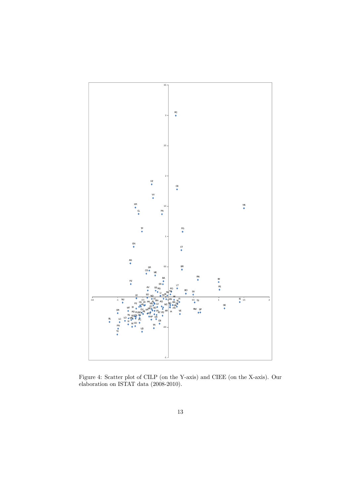

Figure 4: Scatter plot of CILP (on the Y-axis) and CIEE (on the X-axis). Our elaboration on ISTAT data (2008-2010).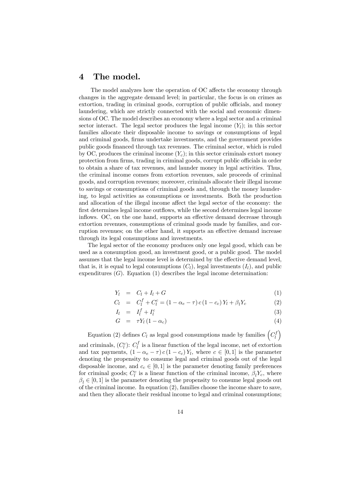#### The model.  $\boldsymbol{4}$

The model analyzes how the operation of OC affects the economy through changes in the aggregate demand level; in particular, the focus is on crimes as extortion, trading in criminal goods, corruption of public officials, and money laundering, which are strictly connected with the social and economic dimensions of OC. The model describes an economy where a legal sector and a criminal sector interact. The legal sector produces the legal income  $(Y_l)$ ; in this sector families allocate their disposable income to savings or consumptions of legal and criminal goods, firms undertake investments, and the government provides public goods financed through tax revenues. The criminal sector, which is ruled by OC, produces the criminal income  $(Y_c)$ ; in this sector criminals extort money protection from firms, trading in criminal goods, corrupt public officials in order to obtain a share of tax revenues, and launder money in legal activities. Thus, the criminal income comes from extortion revenues, sale proceeds of criminal goods, and corruption revenues; moreover, criminals allocate their illegal income to savings or consumptions of criminal goods and, through the money laundering, to legal activities as consumptions or investments. Both the production and allocation of the illegal income affect the legal sector of the economy: the first determines legal income outflows, while the second determines legal income inflows. OC, on the one hand, supports an effective demand decrease through extortion revenues, consumptions of criminal goods made by families, and corruption revenues; on the other hand, it supports an effective demand increase through its legal consumptions and investments.

The legal sector of the economy produces only one legal good, which can be used as a consumption good, an investment good, or a public good. The model assumes that the legal income level is determined by the effective demand level, that is, it is equal to legal consumptions  $(C_l)$ , legal investments  $(I_l)$ , and public expenditures  $(G)$ . Equation  $(1)$  describes the legal income determination:

$$
Y_l = C_l + I_l + G \tag{1}
$$

$$
C_l = C_l^f + C_l^c = (1 - \alpha_e - \tau) c (1 - c_c) Y_l + \beta_l Y_c \tag{2}
$$

$$
I_l = I_l^f + I_l^c \tag{3}
$$

$$
G = \tau Y_l (1 - \alpha_c) \tag{4}
$$

Equation (2) defines  $C_l$  as legal good consumptions made by families  $\begin{pmatrix} C_l^f \end{pmatrix}$ and criminals,  $(C_l^c)$ :  $C_l^f$  is a linear function of the legal income, net of extortion and tax payments,  $(1 - \alpha_e - \tau) c (1 - c_c) Y_l$ , where  $c \in [0, 1]$  is the parameter denoting the propensity to consume legal and criminal goods out of the legal disposable income, and  $c_c \in [0, 1]$  is the parameter denoting family preferences for criminal goods;  $C_l^c$  is a linear function of the criminal income,  $\beta_l Y_c$ , where  $\beta_l \in [0,1]$  is the parameter denoting the propensity to consume legal goods out of the criminal income. In equation  $(2)$ , families choose the income share to save, and then they allocate their residual income to legal and criminal consumptions;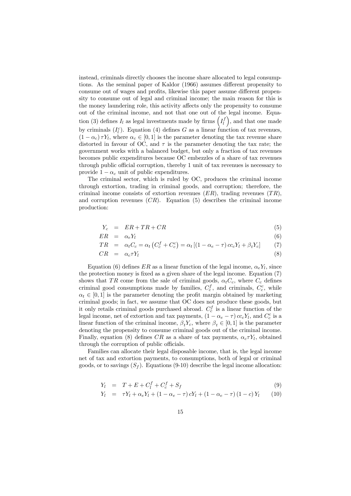instead, criminals directly chooses the income share allocated to legal consumptions. As the seminal paper of Kaldor (1966) assumes different propensity to consume out of wages and profits, likewise this paper assume different propensity to consume out of legal and criminal income; the main reason for this is the money laundering role, this activity affects only the propensity to consume out of the criminal income, and not that one out of the legal income. Equation (3) defines  $I_l$  as legal investments made by firms  $(I_l^f)$ , and that one made by criminals  $(I_l^c)$ . Equation (4) defines G as a linear function of tax revenues,  $(1 - \alpha_c) \tau Y_l$ , where  $\alpha_c \in [0, 1]$  is the parameter denoting the tax revenue share distorted in favour of OC, and  $\tau$  is the parameter denoting the tax rate; the government works with a balanced budget, but only a fraction of tax revenues becomes public expenditures because OC embezzles of a share of tax revenues through public official corruption, thereby 1 unit of tax revenues is necessary to provide  $1 - \alpha_c$  unit of public expenditures.

The criminal sector, which is ruled by OC, produces the criminal income through extortion, trading in criminal goods, and corruption; therefore, the criminal income consists of extortion revenues  $(ER)$ , trading revenues  $(TR)$ , and corruption revenues  $(CR)$ . Equation (5) describes the criminal income production:

$$
Y_c = ER + TR + CR \tag{5}
$$

 $(6)$ 

$$
ER = \alpha_e Y_l
$$

$$
TR = \alpha_t C_c = \alpha_t (C_c^f + C_c^c) = \alpha_t [(1 - \alpha_e - \tau) c c_c Y_l + \beta_t Y_c]
$$
(7)

$$
CR = \alpha_c \tau Y_l \tag{8}
$$

Equation (6) defines ER as a linear function of the legal income,  $\alpha_e Y_l$ , since the protection money is fixed as a given share of the legal income. Equation (7) shows that TR come from the sale of criminal goods,  $\alpha_t C_c$ , where  $C_c$  defines criminal good consumptions made by families,  $C_c^f$ , and criminals,  $C_c^c$ , while  $\alpha_t \in [0,1]$  is the parameter denoting the profit margin obtained by marketing criminal goods; in fact, we assume that OC does not produce these goods, but it only retails criminal goods purchased abroad.  $C_c^f$  is a linear function of the legal income, net of extortion and tax payments,  $(1 - \alpha_e - \tau) c c_c Y_l$ , and  $C_c^c$  is a linear function of the criminal income,  $\beta_t Y_c$ , where  $\beta_t \in [0,1]$  is the parameter denoting the propensity to consume criminal goods out of the criminal income. Finally, equation (8) defines CR as a share of tax payments,  $\alpha_c T I_l$ , obtained through the corruption of public officials.

Families can allocate their legal disposable income, that is, the legal income net of tax and extortion payments, to consumptions, both of legal or criminal goods, or to sayings  $(S_f)$ . Equations (9-10) describe the legal income allocation:

$$
Y_l = T + E + C_l^f + C_c^f + S_f \tag{9}
$$

$$
Y_l = \tau Y_l + \alpha_e Y_l + (1 - \alpha_e - \tau) cY_l + (1 - \alpha_e - \tau) (1 - c) Y_l \tag{10}
$$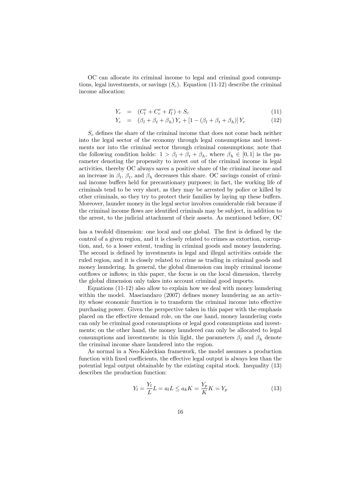OC can allocate its criminal income to legal and criminal good consumptions, legal investments, or savings  $(S_c)$ . Equation (11-12) describe the criminal income allocation:

$$
Y_c = (C_l^c + C_c^c + I_l^c) + S_c \tag{11}
$$

$$
Y_c = (\beta_l + \beta_t + \beta_h) Y_c + [1 - (\beta_l + \beta_t + \beta_h)] Y_c \tag{12}
$$

 $S_c$  defines the share of the criminal income that does not come back neither into the legal sector of the economy through legal consumptions and investments nor into the criminal sector through criminal consumptions; note that the following condition holds:  $1 > \beta_l + \beta_t + \beta_h$ , where  $\beta_h \in [0,1]$  is the parameter denoting the propensity to invest out of the criminal income in legal activities, thereby OC always saves a positive share of the criminal income and an increase in  $\beta_l$ ,  $\beta_t$ , and  $\beta_h$  decreases this share. OC savings consist of criminal income buffers held for precautionary purposes; in fact, the working life of criminals tend to be very short, as they may be arrested by police or killed by other criminals, so they try to protect their families by laying up these buffers. Moreover, launder money in the legal sector involves considerable risk because if the criminal income flows are identified criminals may be subject, in addition to the arrest, to the judicial attachment of their assets. As mentioned before, OC

has a twofold dimension: one local and one global. The first is defined by the control of a given region, and it is closely related to crimes as extortion, corruption, and, to a lesser extent, trading in criminal goods and money laundering. The second is defined by investments in legal and illegal activities outside the ruled region, and it is closely related to crime as trading in criminal goods and money laundering. In general, the global dimension can imply criminal income outflows or inflows; in this paper, the focus is on the local dimension, thereby the global dimension only takes into account criminal good imports.

Equations  $(11-12)$  also allow to explain how we deal with money laundering within the model. Masciandaro  $(2007)$  defines money laundering as an activity whose economic function is to transform the criminal income into effective purchasing power. Given the perspective taken in this paper with the emphasis placed on the effective demand role, on the one hand, money laundering costs can only be criminal good consumptions or legal good consumptions and investments; on the other hand, the money laundered can only be allocated to legal consumptions and investments; in this light, the parameters  $\beta_l$  and  $\beta_h$  denote the criminal income share laundered into the region.

As normal in a Neo-Kaleckian framework, the model assumes a production function with fixed coefficients, the effective legal output is always less than the potential legal output obtainable by the existing capital stock. Inequality (13) describes the production function:

$$
Y_l = \frac{Y_l}{L} L = a_l L \le a_k K = \frac{Y_p}{K} K = Y_p \tag{13}
$$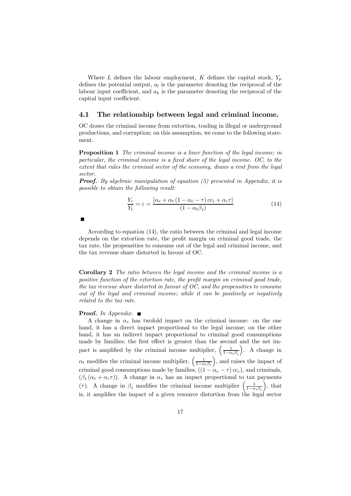Where L defines the labour employment, K defines the capital stock,  $Y_p$ defines the potential output,  $a_l$  is the parameter denoting the reciprocal of the labour input coefficient, and  $a_k$  is the parameter denoting the reciprocal of the capital input coefficient.

#### 4.1 The relationship between legal and criminal income.

OC draws the criminal income from extortion, trading in illegal or underground productions, and corruption; on this assumption, we come to the following statement.

**Proposition 1** The criminal income is a liner function of the legal income; in particular, the criminal income is a fixed share of the legal income. OC, to the extent that rules the criminal sector of the economy, draws a rent from the legal sector.

**Proof.** By algebraic manipulation of equation  $(5)$  presented in Appendix, it is possible to obtain the following result:

$$
\frac{Y_c}{Y_l} = \varepsilon = \frac{\left[\alpha_e + \alpha_t \left(1 - \alpha_e - \tau\right) c c_c + \alpha_c \tau\right]}{\left(1 - \alpha_t \beta_t\right)}\tag{14}
$$

According to equation (14), the ratio between the criminal and legal income depends on the extortion rate, the profit margin on criminal good trade, the tax rate, the propensities to consume out of the legal and criminal income, and the tax revenue share distorted in favour of OC.

**Corollary 2** The ratio between the legal income and the criminal income is a positive function of the extortion rate, the profit margin on criminal good trade. the tax revenue share distorted in favour of  $OC$ , and the propensities to consume out of the legal and criminal income; while it can be positively or negatively related to the tax rate.

## **Proof.** In Appendix.  $\blacksquare$

A change in  $\alpha_e$  has twofold impact on the criminal income: on the one hand, it has a direct impact proportional to the legal income; on the other hand, it has an indirect impact proportional to criminal good consumptions made by families; the first effect is greater than the second and the net impact is amplified by the criminal income multiplier,  $\left(\frac{1}{1-\alpha_t\beta_t}\right)$ . A change in  $\alpha_t$  modifies the criminal income multiplier,  $\left(\frac{1}{1-\alpha_t\beta_t}\right)$ , and raises the impact of criminal good consumptions made by families,  $((1 - \alpha_e - \tau) c c_c)$ , and criminals,  $(\beta_t (\alpha_e + \alpha_c \tau))$ . A change in  $\alpha_c$  has an impact proportional to tax payments ( $\tau$ ). A change in  $\beta_t$  modifies the criminal income multiplier  $\left(\frac{1}{1-\alpha_t\beta_t}\right)$ , that is, it amplifies the impact of a given resource distortion from the legal sector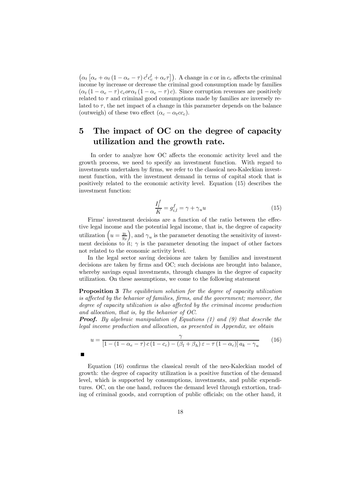$(\alpha_t \left[ \alpha_e + \alpha_t (1 - \alpha_e - \tau) c^l c^l_c + \alpha_c \tau \right])$ . A change in c or in  $c_c$  affects the criminal income by increase or decrease the criminal good consumption made by families  $(\alpha_t (1 - \alpha_e - \tau) c_c or \alpha_t (1 - \alpha_e - \tau) c)$ . Since corruption revenues are positively related to  $\tau$  and criminal good consumptions made by families are inversely related to  $\tau$ , the net impact of a change in this parameter depends on the balance (outweigh) of these two effect  $(\alpha_c - \alpha_t c c_c)$ .

## The impact of OC on the degree of capacity 5 utilization and the growth rate.

In order to analyze how OC affects the economic activity level and the growth process, we need to specify an investment function. With regard to investments undertaken by firms, we refer to the classical neo-Kaleckian investment function, with the investment demand in terms of capital stock that is positively related to the economic activity level. Equation (15) describes the investment function:

$$
\frac{I_l^f}{K} = g_{i,l}^f = \gamma + \gamma_u u \tag{15}
$$

Firms' investment decisions are a function of the ratio between the effective legal income and the potential legal income, that is, the degree of capacity utilization  $\left(u = \frac{y_l}{y_p}\right)$ , and  $\gamma_u$  is the parameter denoting the sensitivity of investment decisions to it;  $\gamma$  is the parameter denoting the impact of other factors not related to the economic activity level.

In the legal sector saving decisions are taken by families and investment decisions are taken by firms and OC; such decisions are brought into balance, whereby savings equal investments, through changes in the degree of capacity utilization. On these assumptions, we come to the following statement

**Proposition 3** The equilibrium solution for the degree of capacity utilization is affected by the behavior of families, firms, and the government; moreover, the degree of capacity utilization is also affected by the criminal income production and allocation, that is, by the behavior of  $OC$ .

**Proof.** By algebraic manipulation of Equations (1) and (9) that describe the legal income production and allocation, as presented in Appendix, we obtain

$$
u = \frac{\gamma}{\left[1 - \left(1 - \alpha_e - \tau\right)c\left(1 - c_c\right) - \left(\beta_l + \beta_h\right)\varepsilon - \tau\left(1 - \alpha_c\right)\right]a_k - \gamma_u} \tag{16}
$$

Equation (16) confirms the classical result of the neo-Kaleckian model of growth: the degree of capacity utilization is a positive function of the demand level, which is supported by consumptions, investments, and public expenditures. OC, on the one hand, reduces the demand level through extortion, trading of criminal goods, and corruption of public officials; on the other hand, it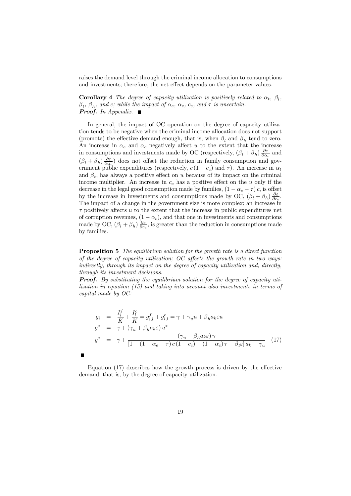raises the demand level through the criminal income allocation to consumptions and investments; therefore, the net effect depends on the parameter values.

**Corollary 4** The degree of capacity utilization is positively related to  $\alpha_t$ ,  $\beta_t$ ,  $\beta_t$ ,  $\beta_h$ , and c; while the impact of  $\alpha_e$ ,  $\alpha_c$ ,  $c_c$ , and  $\tau$  is uncertain. **Proof.** In Appendix.  $\blacksquare$ 

In general, the impact of OC operation on the degree of capacity utilization tends to be negative when the criminal income allocation does not support (promote) the effective demand enough, that is, when  $\beta_l$  and  $\beta_h$  tend to zero. An increase in  $\alpha_e$  and  $\alpha_c$  negatively affect u to the extent that the increase in consumptions and investments made by OC (respectively,  $(\beta_l + \beta_h) \frac{\partial \varepsilon}{\partial \alpha_e}$  and  $(\beta_l + \beta_h) \frac{\partial \varepsilon}{\partial \alpha_c})$  does not offset the reduction in family consumption and government public expenditures (respectively,  $c(1 - c_c)$  and  $\tau$ ). An increase in  $\alpha_t$ and  $\beta_t$ , has always a positive effect on u because of its impact on the criminal income multiplier. An increase in  $c_c$  has a positive effect on the  $u$  only if the decrease in the legal good consumption made by families,  $(1 - \alpha_e - \tau) c$ , is offset by the increase in investments and consumptions made by OC,  $(\beta_l + \beta_h) \frac{\partial \varepsilon}{\partial c}$ . The impact of a change in the government size is more complex; an increase in  $\tau$  positively affects u to the extent that the increase in public expenditures net of corruption revenues,  $(1 - \alpha_c)$ , and that one in investments and consumptions made by OC,  $(\beta_l + \beta_h) \frac{\partial \varepsilon}{\partial c}$ , is greater than the reduction in consumptions made by families.

**Proposition 5** The equilibrium solution for the growth rate is a direct function of the degree of capacity utilization; OC affects the growth rate in two ways: indirectly, through its impact on the degree of capacity utilization and, directly, through its investment decisions.

**Proof.** By substituting the equilibrium solution for the degree of capacity utilization in equation  $(15)$  and taking into account also investments in terms of capital made by  $OC$ :

$$
g_i = \frac{I_l^f}{K} + \frac{I_l^c}{K} = g_{i,l}^f + g_{i,l}^c = \gamma + \gamma_u u + \beta_h a_k \varepsilon u
$$
  
\n
$$
g^* = \gamma + (\gamma_u + \beta_h a_k \varepsilon) u^*
$$
  
\n
$$
g^* = \gamma + \frac{(\gamma_u + \beta_h a_k \varepsilon) \gamma}{[1 - (1 - \alpha_e - \tau) c (1 - c_c) - (1 - \alpha_c) \tau - \beta_l \varepsilon] a_k - \gamma_u}
$$
\n(17)

Equation  $(17)$  describes how the growth process is driven by the effective demand, that is, by the degree of capacity utilization.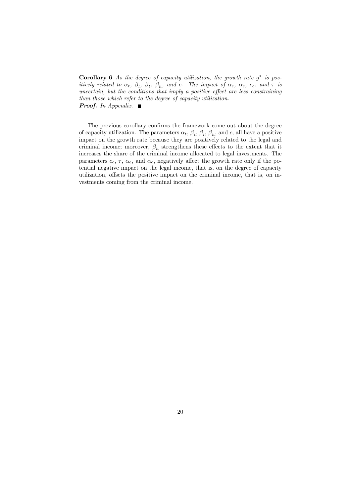**Corollary 6** As the degree of capacity utilization, the growth rate  $g^*$  is positively related to  $\alpha_t$ ,  $\beta_t$ ,  $\beta_t$ ,  $\beta_h$ , and c. The impact of  $\alpha_e$ ,  $\alpha_c$ ,  $c_c$ , and  $\tau$  is uncertain, but the conditions that imply a positive effect are less constraining than those which refer to the degree of capacity utilization. **Proof.** In Appendix.  $\blacksquare$ 

The previous corollary confirms the framework come out about the degree of capacity utilization. The parameters  $\alpha_t$ ,  $\beta_t$ ,  $\beta_t$ ,  $\beta_h$ , and c, all have a positive impact on the growth rate because they are positively related to the legal and criminal income; moreover,  $\beta_h$  strengthens these effects to the extent that it increases the share of the criminal income allocated to legal investments. The parameters  $c_c$ ,  $\tau$ ,  $\alpha_e$ , and  $\alpha_c$ , negatively affect the growth rate only if the potential negative impact on the legal income, that is, on the degree of capacity utilization, offsets the positive impact on the criminal income, that is, on investments coming from the criminal income.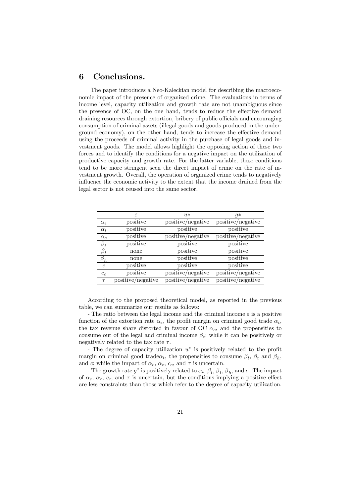#### Conclusions. 6

The paper introduces a Neo-Kaleckian model for describing the macroeconomic impact of the presence of organized crime. The evaluations in terms of income level, capacity utilization and growth rate are not unambiguous since the presence of OC, on the one hand, tends to reduce the effective demand draining resources through extortion, bribery of public officials and encouraging consumption of criminal assets (illegal goods and goods produced in the underground economy), on the other hand, tends to increase the effective demand using the proceeds of criminal activity in the purchase of legal goods and investment goods. The model allows highlight the opposing action of these two forces and to identify the conditions for a negative impact on the utilization of productive capacity and growth rate. For the latter variable, these conditions tend to be more stringent seen the direct impact of crime on the rate of investment growth. Overall, the operation of organized crime tends to negatively influence the economic activity to the extent that the income drained from the legal sector is not reused into the same sector.

|                     | F.                | $u*$              | $q*$                                         |
|---------------------|-------------------|-------------------|----------------------------------------------|
| $\alpha_e$          | positive          | positive/negative | positive/negative                            |
| $\alpha_t$          | positive          | positive          | positive                                     |
| $\alpha_c$          | positive          | positive/negative | positive/negative                            |
| $\beta_t$           | positive          | positive          | positive                                     |
|                     | none              | positive          | positive                                     |
| $\rm \beta_{\it h}$ | none              | positive          | positive                                     |
| $\mathfrak{c}$      | positive          | positive          | positive                                     |
| $c_c$               | positive          | positive/negative | positive/negative                            |
| $\tau$              | positive/negative | positive/negative | $\overline{\text{positive}}/\text{negative}$ |

According to the proposed theoretical model, as reported in the previous table, we can summarize our results as follows:

- The ratio between the legal income and the criminal income  $\varepsilon$  is a positive function of the extortion rate  $\alpha_e$ , the profit margin on criminal good trade  $\alpha_t$ , the tax revenue share distorted in favour of OC  $\alpha_c$ , and the propensities to consume out of the legal and criminal income  $\beta_t$ ; while it can be positively or negatively related to the tax rate  $\tau$ .

- The degree of capacity utilization  $u^*$  is positively related to the profit margin on criminal good trade $\alpha_t$ , the propensities to consume  $\beta_l$ ,  $\beta_t$  and  $\beta_h$ , and c; while the impact of  $\alpha_e$ ,  $\alpha_c$ ,  $c_c$ , and  $\tau$  is uncertain.

- The growth rate  $g^*$  is positively related to  $\alpha_t$ ,  $\beta_t$ ,  $\beta_t$ ,  $\beta_h$ , and c. The impact of  $\alpha_e$ ,  $\alpha_c$ ,  $c_c$ , and  $\tau$  is uncertain, but the conditions implying a positive effect are less constraints than those which refer to the degree of capacity utilization.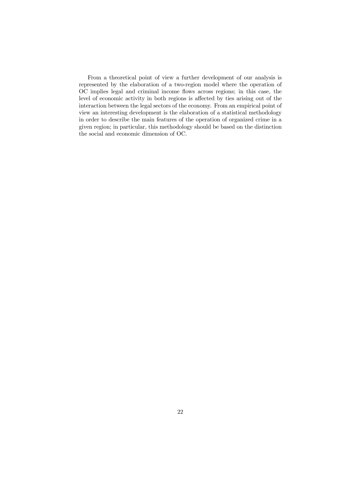From a theoretical point of view a further development of our analysis is represented by the elaboration of a two-region model where the operation of OC implies legal and criminal income flows across regions; in this case, the level of economic activity in both regions is affected by ties arising out of the interaction between the legal sectors of the economy. From an empirical point of view an interesting development is the elaboration of a statistical methodology in order to describe the main features of the operation of organized crime in a given region; in particular, this methodology should be based on the distinction the social and economic dimension of OC.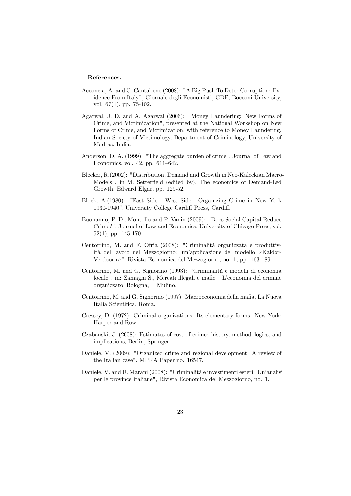## References.

- Acconcia, A. and C. Cantabene (2008): "A Big Push To Deter Corruption: Evidence From Italy", Giornale degli Economisti, GDE, Bocconi University, vol.  $67(1)$ , pp. 75-102.
- Agarwal, J. D. and A. Agarwal (2006): "Money Laundering: New Forms of Crime, and Victimization", presented at the National Workshop on New Forms of Crime, and Victimization, with reference to Money Laundering, Indian Society of Victimology, Department of Criminology, University of Madras, India.
- Anderson, D. A. (1999): "The aggregate burden of crime", Journal of Law and Economics, vol. 42, pp. 611-642.
- Blecker, R. (2002): "Distribution, Demand and Growth in Neo-Kaleckian Macro-Models", in M. Setterfield (edited by), The economics of Demand-Led Growth, Edward Elgar, pp. 129-52.
- Block, A. (1980): "East Side West Side. Organizing Crime in New York 1930-1940", University College Cardiff Press, Cardiff.
- Buonanno, P. D., Montolio and P. Vanin (2009): "Does Social Capital Reduce Crime?", Journal of Law and Economics, University of Chicago Press, vol.  $52(1)$ , pp. 145-170.
- Centorrino, M. and F. Ofria (2008): "Criminalità organizzata e produttività del lavoro nel Mezzogiorno: un'applicazione del modello «Kaldor-Verdoorn»", Rivista Economica del Mezzogiorno, no. 1, pp. 163-189.
- Centorrino, M. and G. Signorino (1993): "Criminalità e modelli di economia locale", in: Zamagni S., Mercati illegali e mafie – L'economia del crimine organizzato, Bologna, Il Mulino.
- Centorrino, M. and G. Signorino (1997): Macroeconomia della mafia, La Nuova Italia Scientifica, Roma.
- Cressey, D. (1972): Criminal organizations: Its elementary forms. New York: Harper and Row.
- Czabanski, J. (2008): Estimates of cost of crime: history, methodologies, and implications, Berlin, Springer.
- Daniele, V. (2009): "Organized crime and regional development. A review of the Italian case", MPRA Paper no. 16547.
- Daniele, V. and U. Marani (2008): "Criminalità e investimenti esteri. Un'analisi per le province italiane", Rivista Economica del Mezzogiorno, no. 1.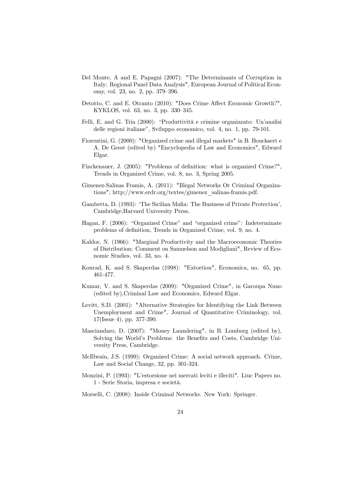- Del Monte, A and E. Papagni (2007): "The Determinants of Corruption in Italy: Regional Panel Data Analysis", European Journal of Political Economy, vol. 23, no. 2, pp. 379–396.
- Detotto, C. and E. Otranto (2010): "Does Crime Affect Economic Growth?", KYKLOS, vol. 63, no. 3, pp. 330–345.
- Felli, E. and G. Tria (2000): "Produttività e crimine organizzato: Un'analisi delle regioni italiane", Sviluppo economico, vol. 4, no. 1, pp. 79-101.
- Fiorentini, G. (2000): "Organized crime and illegal markets" in B. Bouckaert e. A. De Geest (edited by) "Encyclopedia of Law and Economics", Edward Elgar.
- Finckenauer, J. (2005): "Problems of definition: what is organized Crime?", Trends in Organized Crime, vol. 8, no. 3, Spring 2005.
- Gimenez-Salinas Framis, A. (2011): "Illegal Networks Or Criminal Organizations", http://www.erdr.org/textes/gimenez salinas-framis.pdf.
- Gambetta, D. (1993): 'The Sicilian Mafia: The Business of Private Protection', Cambridge, Harvard University Press.
- Hagan, F. (2006): "Organized Crime" and "organized crime": Indeterminate problems of definition, Trends in Organized Crime, vol. 9, no. 4.
- Kaldor, N. (1966): "Marginal Productivity and the Macroeconomic Theories of Distribution: Comment on Samuelson and Modigliani", Review of Economic Studies, vol. 33, no. 4.
- Konrad, K. and S. Skaperdas (1998): "Extortion", Economica, no. 65, pp. 461-477.
- Kumar, V. and S. Skaperdas (2009): "Organized Crime", in Garoupa Nuno (edited by), Criminal Law and Economics, Edward Elgar.
- Levitt, S.D. (2001): "Alternative Strategies for Identifying the Link Between Unemployment and Crime", Journal of Quantitative Criminology, vol.  $17$ (Issue 4), pp. 377-390.
- Masciandaro, D. (2007): "Money Laundering", in B. Lomborg (edited by), Solving the World's Problems: the Benefits and Costs, Cambridge University Press, Cambridge.
- McIllwain, J.S. (1999): Organized Crime: A social network approach. Crime, Law and Social Change, 32, pp. 301-324.
- Monzini, P. (1993): "L'estorsione nei mercati leciti e illeciti". Liuc Papers no. 1 - Serie Storia, impresa e società.
- Morselli, C. (2008): Inside Criminal Networks. New York: Springer.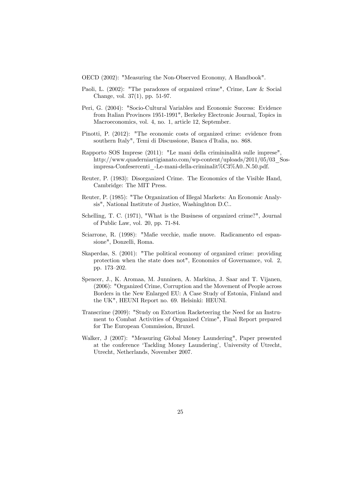OECD (2002): "Measuring the Non-Observed Economy, A Handbook".

- Paoli, L. (2002): "The paradoxes of organized crime". Crime, Law & Social Change, vol. 37(1), pp. 51-97.
- Peri, G. (2004): "Socio-Cultural Variables and Economic Success: Evidence from Italian Provinces 1951-1991", Berkeley Electronic Journal, Topics in Macroeconomics, vol. 4, no. 1, article 12, September.
- Pinotti, P. (2012): "The economic costs of organized crime: evidence from southern Italy", Temi di Discussione, Banca d'Italia, no. 868.
- Rapporto SOS Imprese (2011): "Le mani della crimininalità sulle imprese". http://www.quaderniartigianato.com/wp-content/uploads/2011/05/03 Sosimpresa-Confesercenti -Le-mani-della-criminalit%C3%A0..N.50.pdf.
- Reuter, P. (1983): Disorganized Crime. The Economics of the Visible Hand, Cambridge: The MIT Press.
- Reuter, P. (1985): "The Organization of Illegal Markets: An Economic Analysis", National Institute of Justice, Washinghton D.C..
- Schelling, T. C. (1971), "What is the Business of organized crime?", Journal of Public Law, vol. 20, pp. 71-84.
- Sciarrone, R. (1998): "Mafie vecchie, mafie nuove. Radicamento ed espansione", Donzelli, Roma.
- Skaperdas, S. (2001): "The political economy of organized crime: providing protection when the state does not", Economics of Governamce, vol. 2, pp. 173-202.
- Spencer, J., K. Aromaa, M. Junninen, A. Markina, J. Saar and T. Vijanen, (2006): "Organized Crime, Corruption and the Movement of People across Borders in the New Enlarged EU: A Case Study of Estonia, Finland and the UK", HEUNI Report no. 69. Helsinki: HEUNI.
- Transcrime (2009): "Study on Extortion Racketeering the Need for an Instrument to Combat Activities of Organized Crime", Final Report prepared for The European Commission, Bruxel.
- Walker, J (2007): "Measuring Global Money Laundering", Paper presented at the conference 'Tackling Money Laundering', University of Utrecht, Utrecht, Netherlands, November 2007.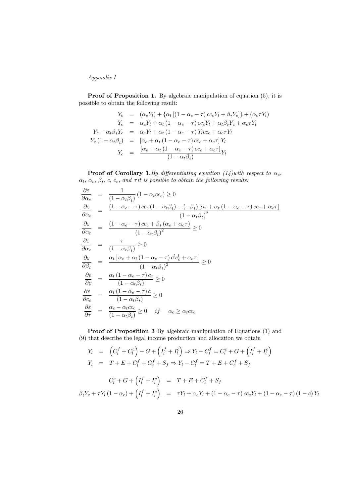$Appendix I$ 

**Proof of Proposition 1.** By algebraic manipulation of equation  $(5)$ , it is possible to obtain the following result:

$$
Y_c = (\alpha_e Y_l) + {\alpha_t [(1 - \alpha_e - \tau) c c_c Y_l + \beta_t Y_c]} + (\alpha_c \tau Y_l)
$$
  
\n
$$
Y_c = \alpha_e Y_l + \alpha_t (1 - \alpha_e - \tau) c c_c Y_l + \alpha_t \beta_t Y_c + \alpha_c \tau Y_l
$$
  
\n
$$
Y_c - \alpha_t \beta_t Y_c = \alpha_e Y_l + \alpha_t (1 - \alpha_e - \tau) Y_l c c_c + \alpha_c \tau Y_l
$$
  
\n
$$
Y_c (1 - \alpha_t \beta_t) = [\alpha_e + \alpha_t (1 - \alpha_e - \tau) c c_c + \alpha_c \tau] Y_l
$$
  
\n
$$
Y_c = \frac{[\alpha_e + \alpha_t (1 - \alpha_e - \tau) c c_c + \alpha_c \tau]}{(1 - \alpha_t \beta_t)} Y_l
$$

**Proof of Corollary 1.** By differentiating equation (14) with respect to  $\alpha_e$ ,  $\alpha_t, \, \alpha_c, \, \beta_t, \, c, \, c_c, \, and \, \tau$  it is possible to obtain the following results:

$$
\frac{\partial \varepsilon}{\partial \alpha_e} = \frac{1}{(1 - \alpha_t \beta_t)} (1 - \alpha_t c_c) \ge 0
$$
\n
$$
\frac{\partial \varepsilon}{\partial \alpha_t} = \frac{(1 - \alpha_e - \tau) c c_c (1 - \alpha_t \beta_t) - (-\beta_t) [\alpha_e + \alpha_t (1 - \alpha_e - \tau) c c_c + \alpha_c \tau]}{(1 - \alpha_t \beta_t)^2}
$$
\n
$$
\frac{\partial \varepsilon}{\partial \alpha_t} = \frac{(1 - \alpha_e - \tau) c c_c + \beta_t (\alpha_e + \alpha_c \tau)}{(1 - \alpha_t \beta_t)^2} \ge 0
$$
\n
$$
\frac{\partial \varepsilon}{\partial \alpha_c} = \frac{\tau}{(1 - \alpha_t \beta_t)} \ge 0
$$
\n
$$
\frac{\partial \varepsilon}{\partial \beta_t} = \frac{\alpha_t [\alpha_e + \alpha_t (1 - \alpha_e - \tau) c^t c^t_c + \alpha_c \tau]}{(1 - \alpha_t \beta_t)^2} \ge 0
$$
\n
$$
\frac{\partial \varepsilon}{\partial c} = \frac{\alpha_t (1 - \alpha_e - \tau) c_c}{(1 - \alpha_t \beta_t)} \ge 0
$$
\n
$$
\frac{\partial \varepsilon}{\partial c_c} = \frac{\alpha_t (1 - \alpha_e - \tau) c}{(1 - \alpha_t \beta_t)} \ge 0
$$
\n
$$
\frac{\partial \varepsilon}{\partial \tau} = \frac{\alpha_c - \alpha_t c c_c}{(1 - \alpha_t \beta_t)} \ge 0 \quad \text{if} \quad \alpha_c \ge \alpha_t c c_c
$$

**Proof of Proposition 3** By algebraic manipulation of Equations (1) and  $(9)$  that describe the legal income production and allocation we obtain

$$
Y_{l} = \left(C_{l}^{f} + C_{l}^{c}\right) + G + \left(I_{l}^{f} + I_{l}^{c}\right) \Rightarrow Y_{l} - C_{l}^{f} = C_{l}^{c} + G + \left(I_{l}^{f} + I_{l}^{c}\right)
$$
\n
$$
Y_{l} = T + E + C_{l}^{f} + C_{c}^{f} + S_{f} \Rightarrow Y_{l} - C_{l}^{f} = T + E + C_{c}^{f} + S_{f}
$$
\n
$$
C_{l}^{c} + G + \left(I_{l}^{f} + I_{l}^{c}\right) = T + E + C_{c}^{f} + S_{f}
$$
\n
$$
\beta_{l}Y_{c} + \tau Y_{l} (1 - \alpha_{c}) + \left(I_{l}^{f} + I_{l}^{c}\right) = \tau Y_{l} + \alpha_{e}Y_{l} + (1 - \alpha_{e} - \tau) c c_{c}Y_{l} + (1 - \alpha_{e} - \tau) (1 - c) Y_{l}
$$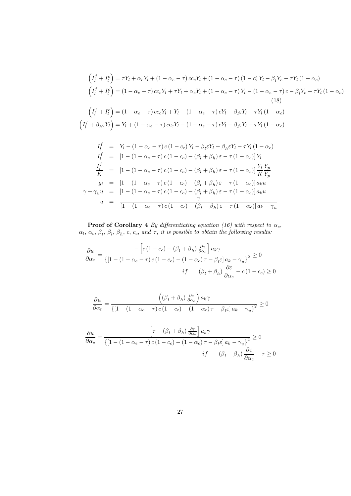$$
\left(I_{l}^{f} + I_{l}^{c}\right) = \tau Y_{l} + \alpha_{e}Y_{l} + (1 - \alpha_{e} - \tau) c c_{c}Y_{l} + (1 - \alpha_{e} - \tau) (1 - c) Y_{l} - \beta_{l}Y_{c} - \tau Y_{l} (1 - \alpha_{c})
$$
\n
$$
\left(I_{l}^{f} + I_{l}^{c}\right) = (1 - \alpha_{e} - \tau) c c_{c}Y_{l} + \tau Y_{l} + \alpha_{e}Y_{l} + (1 - \alpha_{e} - \tau) Y_{l} - (1 - \alpha_{e} - \tau) c - \beta_{l}Y_{c} - \tau Y_{l} (1 - \alpha_{c})
$$
\n
$$
\left(I_{l}^{f} + I_{l}^{c}\right) = (1 - \alpha_{e} - \tau) c c_{c}Y_{l} + Y_{l} - (1 - \alpha_{e} - \tau) cY_{l} - \beta_{l}\varepsilon Y_{l} - \tau Y_{l} (1 - \alpha_{c})
$$
\n
$$
\left(I_{l}^{f} + \beta_{h}\varepsilon Y_{l}\right) = Y_{l} + (1 - \alpha_{e} - \tau) c c_{c}Y_{l} - (1 - \alpha_{e} - \tau) cY_{l} - \beta_{l}\varepsilon Y_{l} - \tau Y_{l} (1 - \alpha_{c})
$$
\n
$$
I_{l}^{f} = Y_{l} - (1 - \alpha_{e} - \tau) c (1 - \alpha_{e})Y_{l} - \beta_{l}\varepsilon Y_{l} - \beta_{l}\varepsilon Y_{l} - \tau Y_{l} (1 - \alpha_{e})
$$

$$
I_{l}^{T} = Y_{l} - (1 - \alpha_{e} - \tau) c (1 - c_{c}) Y_{l} - \beta_{l} \varepsilon Y_{l} - \beta_{h} \varepsilon Y_{l} - \tau Y_{l} (1 - \alpha_{c})
$$
\n
$$
I_{l}^{f} = [1 - (1 - \alpha_{e} - \tau) c (1 - c_{c}) - (\beta_{l} + \beta_{h}) \varepsilon - \tau (1 - \alpha_{c})] Y_{l}
$$
\n
$$
\frac{I_{l}^{f}}{K} = [1 - (1 - \alpha_{e} - \tau) c (1 - c_{c}) - (\beta_{l} + \beta_{h}) \varepsilon - \tau (1 - \alpha_{c})] \frac{Y_{l} Y_{p}}{K Y_{p}}
$$
\n
$$
g_{i} = [1 - (1 - \alpha_{e} - \tau) c (1 - c_{c}) - (\beta_{l} + \beta_{h}) \varepsilon - \tau (1 - \alpha_{c})] a_{k} u
$$
\n
$$
\gamma + \gamma_{u} u = [1 - (1 - \alpha_{e} - \tau) c (1 - c_{c}) - (\beta_{l} + \beta_{h}) \varepsilon - \tau (1 - \alpha_{c})] a_{k} u
$$
\n
$$
u = \frac{\gamma}{[1 - (1 - \alpha_{e} - \tau) c (1 - c_{c}) - (\beta_{l} + \beta_{h}) \varepsilon - \tau (1 - \alpha_{c})] a_{k} - \gamma_{u}}
$$

**Proof of Corollary 4** By differentiating equation (16) with respect to  $\alpha_e$ ,  $\alpha_t, \, \alpha_c, \, \beta_t, \, \beta_l, \, \beta_h, \, c, \, c_c, \, and \, \tau, \, it \, is \, possible \, to \, obtain \, the \, following \, results:$ 

$$
\frac{\partial u}{\partial \alpha_e} = \frac{-\left[c\left(1 - c_c\right) - \left(\beta_l + \beta_h\right) \frac{\partial \varepsilon}{\partial \alpha_e}\right] a_k \gamma}{\left\{\left[1 - \left(1 - \alpha_e - \tau\right) c \left(1 - c_c\right) - \left(1 - \alpha_c\right) \tau - \beta_l \varepsilon\right] a_k - \gamma_u\right\}^2} \ge 0
$$
\n
$$
if \qquad \left(\beta_l + \beta_h\right) \frac{\partial \varepsilon}{\partial \alpha_e} - c\left(1 - c_c\right) \ge 0
$$

$$
\frac{\partial u}{\partial \alpha_t} = \frac{\left( (\beta_l + \beta_h) \frac{\partial \varepsilon}{\partial \alpha_e} \right) a_k \gamma}{\left\{ \left[ 1 - (1 - \alpha_e - \tau) c (1 - c_c) - (1 - \alpha_c) \tau - \beta_l \varepsilon \right] a_k - \gamma_u \right\}^2} \ge 0
$$

$$
\frac{\partial u}{\partial \alpha_c} = \frac{-\left[\tau - (\beta_l + \beta_h) \frac{\partial \varepsilon}{\partial \alpha_e}\right] a_k \gamma}{\left\{ \left[1 - (1 - \alpha_e - \tau) c (1 - c_c) - (1 - \alpha_c) \tau - \beta_l \varepsilon \right] a_k - \gamma_u \right\}^2} \ge 0
$$
  
if  $(\beta_l + \beta_h) \frac{\partial \varepsilon}{\partial \alpha_c} - \tau \ge 0$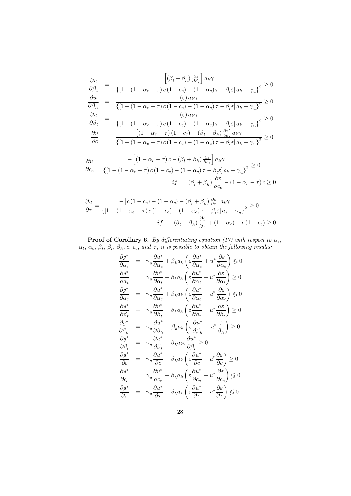$$
\frac{\partial u}{\partial \beta_t} = \frac{\left[ (\beta_l + \beta_h) \frac{\partial \varepsilon}{\partial \beta_t} \right] a_k \gamma}{\left\{ \left[ 1 - (1 - \alpha_e - \tau) c (1 - c_c) - (1 - \alpha_c) \tau - \beta_l \varepsilon \right] a_k - \gamma_u \right\}^2} \ge 0
$$
\n
$$
\frac{\partial u}{\partial \beta_h} = \frac{\left( \varepsilon \right) a_k \gamma}{\left\{ \left[ 1 - (1 - \alpha_e - \tau) c (1 - c_c) - (1 - \alpha_c) \tau - \beta_l \varepsilon \right] a_k - \gamma_u \right\}^2} \ge 0
$$
\n
$$
\frac{\partial u}{\partial \beta_l} = \frac{\left( \varepsilon \right) a_k \gamma}{\left\{ \left[ 1 - (1 - \alpha_e - \tau) c (1 - c_c) - (1 - \alpha_c) \tau - \beta_l \varepsilon \right] a_k - \gamma_u \right\}^2} \ge 0
$$
\n
$$
\frac{\partial u}{\partial c} = \frac{\left[ (1 - \alpha_e - \tau) (1 - c_c) + (\beta_l + \beta_h) \frac{\partial \varepsilon}{\partial c} \right] a_k \gamma}{\left\{ \left[ 1 - (1 - \alpha_e - \tau) c (1 - c_c) - (1 - \alpha_c) \tau - \beta_l \varepsilon \right] a_k - \gamma_u \right\}^2} \ge 0
$$
\n
$$
\left[ (1 - \alpha_e - \tau) (1 - c_c) - (1 - \alpha_e) \tau - \beta_l \varepsilon \right] a_k - \gamma_u \frac{\partial \varepsilon}{\partial c} \ge 0
$$

$$
\frac{\partial u}{\partial c_c} = \frac{-\left[ (1 - \alpha_e - \tau) c - (\beta_l + \beta_h) \frac{\partial \varepsilon}{\partial c_c} \right] a_k \gamma}{\left\{ \left[ 1 - (1 - \alpha_e - \tau) c (1 - c_c) - (1 - \alpha_c) \tau - \beta_l \varepsilon \right] a_k - \gamma_u \right\}^2} \ge 0
$$
  
if  $(\beta_l + \beta_h) \frac{\partial \varepsilon}{\partial c_c} - (1 - \alpha_e - \tau) c \ge 0$ 

$$
\frac{\partial u}{\partial \tau} = \frac{-\left[c(1 - c_c) - (1 - \alpha_c) - (\beta_l + \beta_h)\frac{\partial \varepsilon}{\partial \tau}\right]a_k \gamma}{\left\{[1 - (1 - \alpha_e - \tau) c(1 - c_c) - (1 - \alpha_c)\tau - \beta_l \varepsilon]a_k - \gamma_u\right\}^2} \ge 0
$$
  
if  $(\beta_l + \beta_h)\frac{\partial \varepsilon}{\partial \tau} + (1 - \alpha_c) - c(1 - c_c) \ge 0$ 

**Proof of Corollary 6.** By differentiating equation (17) with respect to  $\alpha_e$ ,  $\alpha_t, \, \alpha_c, \, \beta_t, \, \beta_l, \, \beta_h, \, c, \, c_c, \, and \, \tau, \, it \, is \, possible \, to \, obtain \, the \, following \, results:$ 

$$
\frac{\partial g^*}{\partial \alpha_e} = \gamma_u \frac{\partial u^*}{\partial \alpha_e} + \beta_h a_k \left( \varepsilon \frac{\partial u^*}{\partial \alpha_e} + u^* \frac{\partial \varepsilon}{\partial \alpha_e} \right) \leq 0
$$
  
\n
$$
\frac{\partial g^*}{\partial \alpha_t} = \gamma_u \frac{\partial u^*}{\partial \alpha_t} + \beta_h a_k \left( \varepsilon \frac{\partial u^*}{\partial \alpha_t} + u^* \frac{\partial \varepsilon}{\partial \alpha_t} \right) \geq 0
$$
  
\n
$$
\frac{\partial g^*}{\partial \alpha_c} = \gamma_u \frac{\partial u^*}{\partial \alpha_c} + \beta_h a_k \left( \varepsilon \frac{\partial u^*}{\partial \alpha_c} + u^* \frac{\partial \varepsilon}{\partial \alpha_c} \right) \leq 0
$$
  
\n
$$
\frac{\partial g^*}{\partial \beta_t} = \gamma_u \frac{\partial u^*}{\partial \beta_t} + \beta_h a_k \left( \varepsilon \frac{\partial u^*}{\partial \beta_t} + u^* \frac{\partial \varepsilon}{\partial \beta_t} \right) \geq 0
$$
  
\n
$$
\frac{\partial g^*}{\partial \beta_h} = \gamma_u \frac{\partial u^*}{\partial \beta_h} + \beta_h a_k \left( \varepsilon \frac{\partial u^*}{\partial \beta_h} + u^* \frac{\varepsilon}{\beta_h} \right) \geq 0
$$
  
\n
$$
\frac{\partial g^*}{\partial \beta_t} = \gamma_u \frac{\partial u^*}{\partial \varepsilon} + \beta_h a_k \left( \varepsilon \frac{\partial u^*}{\partial \varepsilon} + u^* \frac{\partial \varepsilon}{\partial \varepsilon} \right) \geq 0
$$
  
\n
$$
\frac{\partial g^*}{\partial \varepsilon} = \gamma_u \frac{\partial u^*}{\partial \varepsilon} + \beta_h a_k \left( \varepsilon \frac{\partial u^*}{\partial \varepsilon_c} + u^* \frac{\partial \varepsilon}{\partial \varepsilon_c} \right) \leq 0
$$
  
\n
$$
\frac{\partial g^*}{\partial \varepsilon} = \gamma_u \frac{\partial u^*}{\partial \varepsilon} + \beta_h a_k \left( \varepsilon \frac{\partial u^*}{\partial \varepsilon_c} + u^* \frac{\partial \varepsilon}{
$$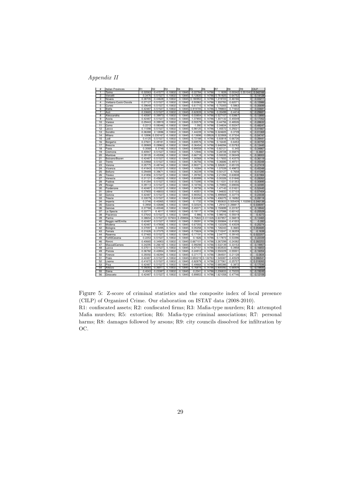## $\label{inert} A \emph{ppendix II}$

| #              | Italian Provinces    | R <sub>1</sub>           | R <sub>2</sub>           | R <sub>3</sub>           | R <sub>4</sub>           | R <sub>5</sub>           | R <sub>6</sub>           | R7                   | R <sub>8</sub>          | R <sub>9</sub>             | CILP                     |
|----------------|----------------------|--------------------------|--------------------------|--------------------------|--------------------------|--------------------------|--------------------------|----------------------|-------------------------|----------------------------|--------------------------|
| 1              | Torino               | $-0.32063$               | $-0.41577$               | $-0.10832$               | $-0.13845$               | $-0.22784$               | $-0.14786$               | 1.1839               | 0.00342                 | 0.551042                   | 0.042166                 |
| $\overline{c}$ | Vercelli             | $-0.3476$                | $-0.51527$               | $-0.10832$               | $-0.13845$               | $-0.12835$               | $-0.14786$               | 0.761825             | $-0.64752$              | $\mathbf 0$                | $-0.14128$               |
| 3              | Novara               | $-0.38705$               | $-0.44628$               | $-0.10832$               | $-0.13845$               | 0.180953                 | $-0.14786$               | 1.219723             | $-0.46166$              | $\Omega$                   | $-0.03211$               |
| 4              | Verbano-Cusio-Ossola | $-0.27127$               | $-0.51527$               | $-0.10832$               | $-0.13845$               | $-0.93963$               | $-0.14786$               | 1.302783             | $-0.62071$              | 0                          | $-0.15986$               |
| 5              | Cuneo                | $-0.39648$               | $-0.51527$               | $-0.10832$               | $-0.13845$               | $-0.61715$               | $-0.14786$               | $-0.70305$           | $-0.5863$               | $\mathbf 0$                | $-0.35699$               |
| 6              | <b>Biella</b>        | $-0.42487$               | $-0.51527$               | $-0.10832$               | $-0.13845$               | 0.919705                 | $-0.14786$               | 0.799803             | $-0.71602$              | $\Omega$                   | $-0.03681$               |
| $\overline{7}$ | Asti                 | $-0.33665$               | $-0.51527$               | $-0.10832$               | $-0.13845$               | $-0.62839$               | $-0.14786$               | $-0.35499$           | $-0.4414$               | $\Omega$                   | $-0.29681$               |
| 8              | Alessandria          | $-0.40587$               | $-0.39973$               | $-0.10832$               | $-0.13845$               | $-0.03854$               | $-0.14786$               | 0.527107             | $-0.53867$              | $\mathbf 0$                | $-0.13893$               |
| 9              | Aosta                | $-0.42487$               | $-0.51527$               | $-0.10832$               | $-0.13845$               | $-1.07855$               | $-0.14786$               | 1.307132             | $-0.45549$              | $\mathbf 0$                | $-0.17352$               |
| 10             | Varese               | $-0.29443$               | $-0.39919$               | $-0.10832$               | $-0.13845$               | $-0.55579$               | $-0.14786$               | $-0.44756$           | $-0.48526$              | $\mathbf 0$                | $-0.28632$               |
| 11             | Como                 | $-0.2213$                | $-0.08346$               | $-0.10832$               | $-0.13845$               | $-1.092$                 | $-0.14786$               | $-2.04834$           | $-0.50247$              | $\mathbf 0$                | $-0.48247$               |
| 12             | Lecco                | $-0.11098$               | $-0.51527$               | $-0.10832$               | $-0.13845$               | $-0.98125$               | $-0.14786$               | $-1.45572$           | $-0.29221$              | $\mathbf 0$                | $-0.41667$               |
| 13             | Sondrio              | $-0.36388$               | 2.12696                  | $-0.10832$               | $-0.13845$               | $-1.44239$               | $-0.14786$               | 0.324605             | $-0.3739$               | $\mathbf 0$                | $-0.01369$               |
| 14             | Milano               | $-0.12896$               | 0.230167                 | $-0.10832$               | $-0.13845$               | $-0.13698$               | $-0.09526$               | 0.323908             | $-0.37334$              | $\mathbf 0$                | $-0.04747$               |
| 15             | Lodi                 | $-0.4125$                | $-0.51527$               | $-0.10832$               | $-0.13845$               | $-0.72188$               | $-0.14786$               | $-0.83818$           | $-0.66726$              | $\mathbf 0$                | $-0.39441$               |
| 16             | Bergamo              | $-0.37601$               | $-0.49181$               | $-0.10832$               | $-0.13845$               | $-0.69576$               | $-0.14786$               | $-0.16445$           | $-0.6453$               | $\Omega$                   | $-0.30755$               |
| 17             | <b>Brescia</b>       | $-0.26969$               | $-0.28963$               | $-0.10832$               | $-0.13845$               | $-0.36454$               | $-0.14786$               | 0.646094             | $-0.53763$              | 0                          | $-0.13445$               |
| 18             | Pavia                | $-0.3068$                | $-0.3748$                | $-0.10832$               | $-0.13845$               | $-0.89558$               | $-0.14786$               | $-0.82121$           | $-0.345$                | $\mathbf 0$                | $-0.34867$               |
| 19             | Cremona              | $-0.40947$               | $-0.51527$               | $-0.10832$               | $-0.13845$               | $-1.12946$               | $-0.14786$               | $-0.28728$           | $-0.55875$              | $\mathbf 0$                | $-0.3661$                |
| 20             | Mantova              | $-0.39105$               | $-0.45358$               | $-0.10832$               | $-0.13845$               | $-0.66718$               | $-0.14786$               | $-0.93035$           | $-0.58349$              | $\mathbf 0$                | $-0.38003$               |
| 21             | Bolzano/Bozen        | $-0.42487$               | $-0.51527$               | $-0.10832$               | $-0.13845$               | $-1.30568$               | $-0.14786$               | $-0.17655$           | $-0.43375$              | $\mathbf 0$                | $-0.36119$               |
| 22             | Trento               | $-0.33968$               | $-0.51527$               | $-0.10832$               | $-0.13845$               | $-1.06756$               | $-0.14786$               | $-0.36686$           | $-0.49731$              | $\mathbf 0$                | $-0.35348$               |
| 23             | Verona               | $-0.35775$               | $-0.48744$               | $-0.10832$               | $-0.13845$               | $-0.90271$               | $-0.14786$               | 0.326261             | $-0.65135$              | $\overline{0}$             | $-0.27418$               |
| 24             | Vicenza              | $-0.41843$               | $-0.51527$               | $-0.10832$               | $-0.13845$               | $-1.18384$               | $-0.14786$               | $-1.07039$           | $-0.49872$              | $\mathbf 0$                | $-0.45348$               |
| 25             | Belluno              | $-0.29489$               | $-0.39671$               | $-0.10832$               | $-0.13845$               | $-1.36239$               | $-0.14786$               | $-0.50127$           | $-0.7658$               | $\mathbf 0$                | $-0.41285$               |
| 26             | Treviso              | $-0.41856$               | $-0.51527$               | $-0.10832$               | $-0.13845$               | $-1.39782$               | $-0.14786$               | $-2.21394$           | $-0.63838$              | $\mathbf 0$                | $-0.61984$               |
| 27             | Venezia              | $-0.31121$               | $-0.45603$               | $-0.10832$               | $-0.13845$               | $-0.85999$               | $-0.14786$               | $-0.00326$           | $-0.51846$              | $\mathbf 0$                | $-0.28262$               |
| 28             | Padova               | $-0.41284$               | $-0.51527$               | $-0.10832$               | $-0.13845$               | $-0.73395$               | $-0.14786$               | $-0.11031$           | $-0.61353$              | $\Omega$                   | $-0.30895$               |
| 29             | Rovigo               | $-0.39113$               | $-0.51527$               | $-0.10832$               | $-0.13845$               | $-0.18706$               | $-0.14786$               | $-0.70955$           | $-0.69006$              | $\Omega$                   | $-0.32085$               |
| 30             | Pordenone            | $-0.42487$               | $-0.51527$               | $-0.10832$               | $-0.13845$               | $-1.39756$               | $-0.14786$               | $-1.47143$           | $-0.51631$              | $\mathbf 0$                | $-0.52445$               |
| 31             | Udine                | $-0.37855$               | $-0.46833$               | $-0.10832$               | $-0.13845$               | $-1.40551$               | $-0.14786$               | $-1.94832$           | $-0.57103$              | $\mathbf 0$                | $-0.57404$               |
| 32             | Gorizia              | $-0.42487$               | $-0.51527$               | $-0.10832$               | $-0.13845$               | $-0.90052$               | $-0.14786$               | 0.499569             | $-0.33774$              | $\Omega$                   | $-0.23038$               |
| 33             | <b>Trieste</b>       | $-0.33079$               | $-0.51527$               | $-0.10832$               | $-0.13845$               | $-0.83349$               | $-0.14786$               | 1.436375             | $-0.18282$              | $\Omega$                   | $-0.09118$               |
| 34             | Imperia              | $-0.3746$                | $-0.40065$               | $-0.10832$               | $-0.13845$               | $-0.1732$                | $-0.14786$               | 1.950833             | 0.505409                | 1.102083                   | 0.246138                 |
| 35             | Savona               | $-0.3958$                | $-0.42688$               | $-0.10832$               | $-0.13845$               | $-0.02024$               | $-0.14786$               | 1.29161              | 0.288817                | 0                          | 0.038097                 |
| 36             | Genova               | $-0.37768$               | $-0.40048$               | $-0.10832$               | $-0.13845$               | $-0.45071$               | $-0.14786$               | 0.150699             | $-0.23197$              | $\Omega$                   | $-0.18942$               |
| 37             | La Spezia            | $-0.33771$               | $-0.4017$                | $-0.10832$               | $-0.13845$               | $-0.19117$               | $-0.14786$               | $-0.37088$           | $-0.60142$              | $\mathbf 0$                | $-0.25528$               |
| 38             | Piacenza             | $-0.37642$               | $-0.51527$               | $-0.10832$               | $-0.13845$               | $-0.986$                 | $-0.14786$               | $-0.98016$           | $-0.59319$              | $\mathbf 0$                | $-0.4273$                |
| 39             | Parma                | $-0.38654$               | $-0.51527$               | 0.107603                 | 0.259856                 | $-0.75822$               | 0.011026                 | 0.637857             | $-0.56819$              | $\mathbf 0$                | $-0.13465$               |
| 40             | Reggio nell'Emilia   | $-0.42487$               | $-0.51527$               | $-0.10832$               | $-0.13845$               | $-1.09391$               | $-0.14786$               | 0.300684             | $-0.41003$              | $\mathbf 0$                | $-0.282$                 |
| 41             | Modena               | $-0.42487$               | $-0.47858$               | $-0.10832$               | $-0.13845$               | $-0.67355$               | $-0.14786$               | 0.132329             | $-0.43539$              | $\mathbf 0$                | $-0.25274$               |
| 42             | Bologna              | $-0.37097$               | $-0.0495$                | $-0.10832$               | $-0.13845$               | $-0.05258$               | $-0.14786$               | 1.726343             | $-0.3665$               | $\mathbf 0$                | 0.054685                 |
| 43             | Ferrara              | $-0.31626$               | $-0.37375$               | $-0.10832$               | $-0.13845$               | $-0.73624$               | $-0.14786$               | 0.710247             | $-0.36359$              | $\mathbf 0$                | $-0.1638$                |
| 44             |                      | $-0.37465$               | $-0.51527$               | $-0.10832$               | $-0.13845$               | $-0.17191$               | $-0.14786$               | 2.04777              | $-0.39145$              | $\mathbf 0$                | 0.022207                 |
| 45             | Ravenna              | $-0.2253$                |                          |                          |                          |                          |                          |                      |                         | $\mathbf 0$                |                          |
| 46             | Forli0Cesena         |                          | $-0.51527$               | $-0.10832$               | $-0.13845$               | $-0.1626$                | $-0.14786$               | $-0.17873$           | $-0.53396$              |                            | $-0.22339$               |
|                | Rimini               | $-0.40665$               | $-0.34903$               | $-0.10832$               | $-0.13845$               | 0.667101                 | $-0.14786$               | 3.267299             | $-0.24382$              | $\mathbf 0$                | 0.282253                 |
| 47<br>48       | Massa0Carrara        | $-0.34295$               | $-0.26619$               | $-0.10832$               | $-0.13845$               | $-0.99298$               | $-0.14786$               | 0.532139             | $-0.33153$<br>$-0.3958$ | $\mathbf 0$                | $-0.19957$               |
| 49             | Lucca<br>Pistoia     | $-0.37511$<br>$-0.36782$ | $-0.51527$<br>$-0.42854$ | $-0.10832$<br>$-0.10832$ | $-0.13845$<br>$-0.13845$ | $-0.47151$<br>$-0.24912$ | $-0.14786$<br>$-0.14786$ | 0.653533<br>0.550229 | $-0.55501$              | $\mathbf 0$<br>$\mathbf 0$ | $-0.16653$<br>$-0.16054$ |
| 50             |                      | $-0.39392$               | $-0.46394$               | $-0.10832$               | $-0.13845$               | $-0.37177$               |                          |                      | $-0.21128$              | $\overline{0}$             |                          |
|                | Firenze              |                          |                          |                          |                          |                          | $-0.14786$               | 1.084931             |                         |                            | $-0.0834$                |
| 51             | Prato                | $-0.42487$               | $-0.51527$               | $-0.10832$               | $-0.13845$               | 0.693219                 | 0.132763                 | 1.545087             | $-0.40529$              | $\mathbf 0$                | 0.086541                 |
| 52             | Livorno              | $-0.41672$               | $-0.51527$               | $-0.10832$               | $-0.13845$               | $-0.82879$               | $-0.14786$               | 2.577061             | $-0.25727$              | 0                          | 0.018265                 |
| 53             | Pisa                 | $-0.42487$               | $-0.51527$               | $-0.10832$               | $-0.13845$               | $-0.49668$               | $-0.14786$               | 0.685386             | $-0.3872$               | $\mathbf 0$                | $-0.17036$               |
| 54             | Arezzo               | $-0.39283$               | $-0.36917$               | $-0.10832$               | $-0.13845$               | $-0.76819$               | $-0.14786$               | 0.800092             | $-0.66939$              | $\mathbf 0$                | $-0.19935$               |
| 55             | Siena                | $-0.4043$                | $-0.23387$               | $-0.10832$               | $-0.13845$               | $-0.2041$                | $-0.14786$               | 0.206833             | $-0.70235$              | $\Omega$                   | $-0.19249$               |
| 56             | Grosseto             | $-0.42487$               | $-0.51527$               | $-0.10832$               | $-0.13845$               | $-0.89853$               | $-0.14786$               | 1.621058             | $-0.47746$              | 0                          | $-0.12108$               |

Figure 5: Z-score of criminal statistics and the composite index of local presence (CILP) of Organized Crime. Our elaboration on ISTAT data (2008-2010).

R1: confiscated assets; R2: confiscated firms; R3: Mafia-type murders; R4: attempted Mafia murders; R5: extortion; R6: Mafia-type criminal associations; R7: personal harms; R8: damages followed by arsons; R9: city councils dissolved for infiltration by OC.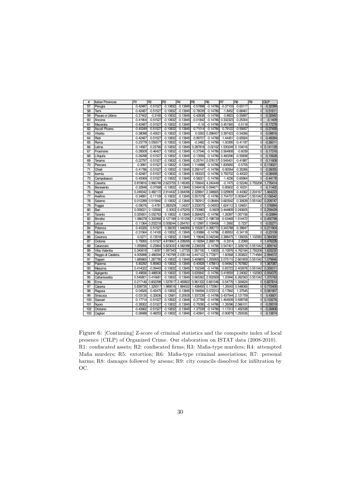| #   | <b>Italian Provinces</b> | R <sub>1</sub> | R <sub>2</sub> | R <sub>3</sub> | R <sub>4</sub> | R <sub>5</sub> | R <sub>6</sub> | R <sub>7</sub> | R <sub>8</sub>    | R <sub>9</sub>      | <b>CILP</b> |
|-----|--------------------------|----------------|----------------|----------------|----------------|----------------|----------------|----------------|-------------------|---------------------|-------------|
| 57  | Perugia                  | $-0.42487$     | $-0.51527$     | $-0.10832$     | $-0.13845$     | $-0.57898$     | $-0.14786$     | $-0.37103$     | $-0.63117$        | $\overline{0}$      | $-0.32399$  |
| 58  | Temi                     | $-0.42487$     | $-0.51527$     | $-0.10832$     | $-0.13845$     | $-0.78039$     | $-0.14786$     | $-1.8452$      | $-0.68461$        | 0                   | $-0.51611$  |
| 59  | Pesaro e Urbino          | $-0.37402$     | $-0.3165$      | $-0.10832$     | $-0.13845$     | $-0.42838$     | $-0.14786$     | $-0.8923$      | $-0.55897$        | $\mathbf 0$         | $-0.32942$  |
| 60  | Ancona                   | $-0.41904$     | $-0.51527$     | $-0.10832$     | $-0.13845$     | $-0.01842$     | $-0.14786$     | 0.332323       | $-0.25304$        | 0                   | $-0.1409$   |
| 61  | Macerata                 | $-0.42487$     | $-0.51527$     | $-0.10832$     | $-0.13845$     | $-0.16$        | $-0.14786$     | 0.451565       | $-0.5118$         | $\overline{0}$      | $-0.17278$  |
| 62  | Ascoli Piceno            | $-0.40349$     | $-0.51527$     | $-0.10832$     | $-0.13845$     | $-0.71014$     | $-0.14786$     | $-0.79122$     | $-0.55657$        | $\mathbf 0$         | $-0.37459$  |
| 63  | Viterbo                  | $-0.38098$     | $-0.43521$     | $-0.10832$     | $-0.13845$     | 0.0263         | 0.298457       | 0.397423       | $-0.54266$        | $\mathbf 0$         | $-0.09816$  |
| 64  | Rieti                    | $-0.42487$     | $-0.51527$     | $-0.10832$     | $-0.13845$     | $-0.99707$     | $-0.14786$     | $-1.44451$     | $-0.65924$        | $\mathbf 0$         | $-0.49284$  |
| 65  | Roma                     | $-0.23779$     | 0.055577       | $-0.10832$     | $-0.13845$     | $-0.3482$      | $-0.14786$     | $-1.00395$     | $-0.41197$        | 0                   | $-0.26011$  |
| 66  | Latina                   | $-0.14587$     | $-0.23766$     | $-0.10832$     | $-0.13845$     | 0.287818       | $-0.02162$     | 1.530249       | 0.104016          | $\overline{0}$      | 0.141129    |
| 67  | Frosinone                | $-0.28509$     | $-0.46427$     | $-0.10832$     | $-0.13845$     | $-0.37546$     | $-0.14786$     | 0.564908       | $-0.6039$         | 0                   | $-0.17316$  |
| 68  | L'Aquila                 | $-0.26298$     | $-0.51527$     | $-0.10832$     | $-0.13845$     | $-0.13556$     | $-0.14786$     | 0.460296       | $-0.55838$        | $\overline{0}$      | $-0.15628$  |
| 69  | Teramo                   | $-0.22797$     | $-0.51527$     | $-0.10832$     | $-0.13845$     | $-0.25741$     | 0.076137       | 0.545431       | $-0.41887$        | $\mathbf 0$         | $-0.11608$  |
| 70  | Pescara                  | $-0.3991$      | $-0.51527$     | $-0.10832$     | $-0.13845$     | 1.114988       | $-0.14786$     | 1.835693       | $-0.5705$         | $\overline{0}$      | 0.119021    |
| 71  | Chieti                   | $-0.41786$     | $-0.51527$     | $-0.10832$     | $-0.13845$     | 0.256147       | $-0.14786$     | $-0.92064$     | $-0.35266$        | $\mathbf 0$         | $-0.26055$  |
| 72  | Isemia                   | $-0.42487$     | $-0.51527$     | $-0.10832$     | $-0.13845$     | 0.180023       | $-0.14786$     | 0.793702       | $-0.40022$        | $\overline{0}$      | $-0.08459$  |
| 73  | Campobasso               | $-0.40069$     | $-0.51527$     | $-0.10832$     | $-0.13845$     | $-0.58221$     | $-0.14786$     | $-1.4236$      | $-0.65964$        | $\Omega$            | $-0.44178$  |
| 74  | Caserta                  | 0.819816       | 0.966749       | 2.623755       | 3.145065       | 2.706643       | 4.240449       | $-0.7475$      |                   | $-0.52246$ 2.755208 | 1.776414    |
| 75  | Benevento                | $-0.32848$     | $-0.07568$     | $-0.10832$     | $-0.13845$     | 0.549418       | 0.094671       | $-0.85602$     | $-0.16331$        | 0                   | $-0.11402$  |
| 76  | Napoli                   | 0.249342       | 0.482172       | 2.914432       | 3.064096       | 2.328841       | 2.348665       | 0.029909       | $-0.44362$        | 2.204167            | 1.464223    |
| 77  | Avellino                 | $-0.34891$     | $-0.11109$     | $-0.10832$     | $-0.13845$     | 0.557078       | $-0.14786$     | 0.704737       | 0.000647          | 0.551042            | 0.106542    |
| 78  | Salemo                   | 0.012289       | 0.515942       | $-0.10832$     | $-0.13845$     | 0.782912       | $-0.08484$     | 0.663542       | $-0.30639$        | 0.551042            | 0.209747    |
| 79  | Foggia                   | $-0.09076$     | $-0.4781$      | 1.282529       | 1.04207        | 3.233075       | $-0.04553$     | 1.624112       | 3.124651          | 0                   | 1.076894    |
| 80  | Bari                     | 0.059221       | 0.133592       | 0.3053         | 0.475255       | 0.733983       | $-0.0609$      | 0.444809       | 0.243605          | $\overline{0}$      | 0.259429    |
| 81  | Taranto                  | 0.020651       | 0.052763       | $-0.10832$     | $-0.13845$     | 0.268425       | $-0.14786$     | $-1.26397$     | 1.057156          | 0                   | $-0.02884$  |
| 82  | <b>Brindisi</b>          | 1.086378       | 0.302968       | 0.127189       | 0.151295       | 1.210827       | 0.198739       | $-0.53469$     | 1.514472          | $\overline{0}$      | 0.450798    |
| 83  | Lecce                    | $-0.11364$     | 0.202218       | 0.008244       | 0.264761       | $-0.12997$     | 0.109456       | $-1.2692$      | 0.7237            | $\overline{0}$      | $-0.02271$  |
| 84  | Potenza                  | $-0.40326$     | $-0.51527$     | 0.38235        | 1.946956       | 0.155267       | 0.395772       | 0.343788       | $-0.39847$        | $\overline{0}$      | 0.211904    |
| 85  | Matera                   | $-0.31564$     | $-0.14165$     | $-0.10832$     | $-0.13845$     | 0.00886        | $-0.14786$     | $-0.89553$     | $-0.34118$        | $\Omega$            | $-0.23109$  |
| 86  | Cosenza                  | $-0.0271$      | $-0.13518$     | $-0.10832$     | $-0.13845$     | 1.19646        | 0.042346       | 0.388475       |                   | 1.139206 1.102083   | 0.384392    |
| 87  | Crotone                  | 0.79265        | $-0.51527$     | 4.819567       | 4.228265       | $-0.18284$     | 2.268179       | $-0.3314$      | 2.2069            | 0                   | 1.476228    |
| 88  | Catanzaro                | 1.055856       | $-0.23964$     | 5.823033       | 4.582088       | 2.236539       | $-0.14786$     | 0.547401       | 2.329218          | 0.551042            | 1.859742    |
| 89  | <b>Vibo Valentia</b>     | 0.340618       | 1.6097         | 1.597343       | 1.07725        | 1.557192       | 1.10835        | $-0.10976$     | 4.763184          | 2.755208            | 1.633232    |
| 90  | Reggio di Calabria       | 4.005898       | 2.486594       | 2.740799       | 2.035144       | 0.447122       | 5.772871       | $-1.60568$     | 3.353822          | 7.714584            | 2.994572    |
| 91  | Trapani                  | 1.685865       | 1.287795       | $-0.10832$     | $-0.13845$     | 0.409805       | 1.293955       | 2.075115       | 2.661809          | 0.551042            | 1.079846    |
| 92  | Palermo                  | 5.80292        | 5.85963        | $-0.10832$     | $-0.13845$     | $-0.40928$     | 1.478813       | $-0.94942$     | 0.767882          | 0                   | 1.367087    |
| 93  | Messina                  | 0.414022       | $-0.09443$     | $-0.10832$     | $-0.13845$     | 1.152348       | $-0.14786$     | $-0.83723$     | 2.403978          | 0.551042            | 0.355011    |
| 94  | Agrigento                | 0.49836        | 0.488536       | $-0.10832$     | $-0.13845$     | 0.635842       | $-0.14786$     | 0.418559       | 2.24062           | 1.102083            | 0.554375    |
| 95  | Caltanissetta            | 0.545801       | 0.416681       | $-0.10832$     | $-0.13845$     | 0.665362       | 2.932928       | 1.20946        | 6.262363          | 0.551042            | 1.370763    |
| 96  | Enna                     | 0.217146       | 0.802298       | 1.537817       | 2.493822       | 0.961332       | 0.661046       | $-0.54776$     | 1.324624          | 0                   | 0.827814    |
| 97  | Catania                  | 0.839735       | 1.329317       | 1.989516       | 1.984022       | 1.438455       | 0.172961       | $-1.35043$     | 0.548065          | $\overline{0}$      | 0.772405    |
| 98  | Ragusa                   | $-0.04526$     | $-0.43475$     | $-0.10832$     | $-0.13845$     | 0.194594       | 0.072313       | $-0.17842$     | 1.37545           | 0                   | 0.081907    |
| 99  | Siracusa                 | $-0.03135$     | $-0.32636$     | 0.12681        | 0.20635        | 1.537239       | $-0.14786$     | 0.437544       | 2.121709          | $\mathbf 0$         | 0.43601     |
| 100 | Sassari                  | $-0.17714$     | $-0.51527$     | $-0.10832$     | $-0.13845$     | $-0.37769$     | $-0.14786$     | 1.454509       | 0.939708          | $\mathbf 0$         | 0.103276    |
| 101 | Nuoro                    | $-0.39302$     | $-0.51527$     | $-0.10832$     | $-0.13845$     | $-0.75095$     | $-0.14786$     | $-1.35096$     | 2.566101          | $\mathbf 0$         | $-0.09319$  |
| 102 | Oristano                 | $-0.40662$     | $-0.51527$     | $-0.10832$     | $-0.13845$     | $-1.37539$     | $-0.14786$     |                | -1.17313 1.452338 | $\overline{0}$      | $-0.26808$  |
| 103 | Cagliari                 | $-0.28488$     | $-0.48253$     | $-0.10832$     | $-0.13845$     | $-0.42841$     | $-0.14786$     | $-0.90879$     | 1.250536          | 0                   | $-0.13874$  |

Figure 6: [Continuing] Z-score of criminal statistics and the composite index of local presence (CILP) of Organized Crime. Our elaboration on ISTAT data (2008-2010). R1: confiscated assets; R2: confiscated firms; R3: Mafia-type murders; R4: attempted Mafia murders; R5: extortion; R6: Mafia-type criminal associations; R7: personal harms; R8: damages followed by arsons; R9: city councils dissolved for infiltration by  $\mathrm{OC}.$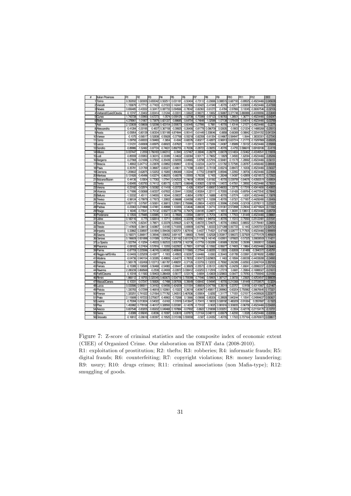| #               | <b>Italian Provinces</b> | R                        | R2                   | R                        | R <sub>4</sub>         | R5                    | P <sub>6</sub>           | R7                      | RB                     | R9                       | R10                   | R <sub>11</sub>         | R12                           | <b>CIEE</b>            |
|-----------------|--------------------------|--------------------------|----------------------|--------------------------|------------------------|-----------------------|--------------------------|-------------------------|------------------------|--------------------------|-----------------------|-------------------------|-------------------------------|------------------------|
|                 | Torino                   | 0.352932                 | 1,020005             | 0.655042                 | 0.502511               | 0.031181              | $-0.50404$               | $-0.73112$              | $-0.20696$             | 0.088515                 | 0.687193              | $-0.89525$              | $-0.45234466$                 | 0.045638               |
|                 | Vercelli                 | 1.155879                 | $-0.77712$           | $-0.77433$               | $-0.21500$             | 0.142441              | $-0.67856$               | $-0.93425$              | $-0.41949$             | $-1.45705$               | $-0.4257$             | $-0.83659$              | $-0.45234466$                 | $-0.47266$             |
|                 | Novara                   | 0.656485                 | $-0.4333$            | $-0.32417$               | 0.08773                | 0.094566              | $-0.78042$               | $-0.8236$               | $-0.61273$             | $-0.4784$                | $-0.97866$            | 0.10045                 | $-0.36067546$                 | $-0.32106$             |
|                 | Verbano0Qusio0Ossola     | $-0.13747$               | $-1.33402$           | $-0.83414$               | $-1.0124$              | $-0.3331$             | $-1.02622$               | $-0.9607$               | $-1.10652$             | $-0.56887$               | 0.371748              | 0.880889                | $-0.40099996$                 | $-0.53849$             |
|                 | Queo                     | 1.743726                 | $-1.0099c$           | $-0.67273$               | $-1.0574$              | 0.059125              | $-1.02736$               | $-0.70089$              | $-0.97123$             | $-0.96783$               | $-1.2850$             | $-1.3677$               | -0.45234466                   | $-0.64247$             |
|                 | Biella                   | 4.378961                 | $-1.01807$           | $-0.73879$               | 0.821337               | $-0.88685$            | $-0.64704$               | $-0.74848$              | $-1.02588$             | $-1.07138$               | 1.57643               | $-0.64014$              | $-0.45234466$                 | $-0.03769$             |
|                 | Asti                     | 2123839                  | $-0.58656$           | $-0.52096$               | 0.423154               | 205957                | $-0.60445$               | $-0.27996$              | $-0.788$               | $-1.45705$               | $-1.43144$            | $-1.2157$               | $-0.45234466$                 | $-0.2275$              |
|                 | Alessandria              | $-0.41284$               | $-0.30195$           | $-0.4507$                | 0.367158               | $-0.3992$             | $-0.26406$               | $-0.81778$              | 0.086709               | 0.02635                  | $-0.9900$             | $-0.21204$              | $-0.14885265$                 | $-0.29313$             |
|                 | Aosta                    | $-0.05954$               | $-0.80139$           | $-0.80304$               | 0.501189               | 4.87494               | $-0.95141$               | $-0.61449$              | 0.308046               | $-0.8856$                | $-0.6636$             | $-0.08842$              | $-0.32041052$                 | 0.04133                |
| 10 <sup>1</sup> | Varese                   | $-0.1075$                | $-0.5651$            | $-0.52838$               | $-0.55626$             | $-0.37765$            | $-0.55218$               | $-0.82356$              | $-0.61354$             | $-0.0486$                | 0.58494               | $-1.0644$               | 1.3833030                     | $-0.27243$             |
| 11              | Comp                     | $-1.0979c$               | $-0.6933$            | $-0.59493$               | $-1.3654$              | $-0.434$              | $-0.68376$               | $-0.8021$               | $-0.4287$              | $-0.96913$               | 0.637314              | $-1.2177$               | $-0.1529786$                  | $-0.65025$             |
| 12              | Lecco                    | $-1.5123$                | $-0.69306$           | $-0.65975$               | $-0.6902$              | $-0.8762$             | $-1.0311$                | $-0.20615$              | $-0.73266$             | $-1.2438$                | $-1.8588$             | $-1.55132$              | $-0.45234466$                 | $-0.95899$             |
| 13              | Sondrio                  | $-0.89986$               | $-1.5248$            | $-0.87724$               | $-0.7463$              | 0.892755              | $-0.76336$               | $-0.2872$               | $-0.0825$              | $-1.4570$                | $-0.475t$             | 0.586619                | 0.69169186                    | $-0.4119$              |
|                 | 14 Milano                | 0.037447                 | 22059                | 0.766183                 | 0.842012               | $-0.0943$             | $-0.57467$               | $-0.36946$              | $-0.28279$             | $-0.69078$               | 0.514654              | $-0.50462$              | -0.4334954                    | 0.118006               |
| 15              | Lodi                     | $-0.85556$               | $-0.5595$            | $-0.36315$               | $-0.33089$             | $-1.04632$            | $-0.82084$               | $-0.9017$               | $-0.79652$             | $-1.13825$               | $-1.3458$             | $-1.62094$              | $-0.45234466$                 | $-0.85266$             |
| 16              | Bergamo                  | $-0.27966$               | $-0.01696$           | $-0.37902$               | $-0.3543$              | $-0.92055$            | $-0.84965$               | $-0.8796$               | $-0.57916$             | $-0.58481$               | $-0.15175$            | $-1.28992$              | $-0.45234466$                 | $-0.56151$             |
| 17              | Brescia                  | 1,49902                  | 0.247712             | $-0.23878$               | $-0.0985$              | 0.95890               | $-0.5516$                | 0.02334                 | $-0.24731$             | $-0.51782$               | 0.72758               | $-0.28787$              | $-0.44566482$                 | 0.089083               |
|                 | 18 Pavia                 | $-0.35781$               | 0.31769              | $-0.38687$               | $-0.8322$              | $-0.4961$             | $-0.71096$               | $-0.4393$               | $-0.70139$             | $-0.65216$               | $-0.8847$             | $-1.16306$              | $-0.45234466$                 | $-0.56327$             |
| 19              | Cremona                  | 1.209602                 | $-0.6287$            | $-0.53253$               | $-0.19283$             | 1.896369              | $-1.00244$               | $-0.7702$               | 0.818879               | $-0.85946$               | $-1.2295$             | $-1.08706$              | $-0.45234466$                 | $-0.23586$             |
| 20              | Mantova                  | 0.131826                 | $-0.45496$           | $-0.63274$               | $-0.86205$             | $-0.68376$            | $-1.0559C$               | $-0.76036$              | $-0.7455$              | $-1.28248$               | $-1.5438$             | $-0.42856$              | $-0.4321857$                  | $-0.7292$              |
| 21              | Bolzano/Bozen            | $-0.44136$               | $-0.9304$            | $-0.77063$               | $-1.07941$             | 0.042533              | $-0.74618$               | $-0.95095$              | $-0.81562$             | $-1.45705$               | 0.03979               | $-0.84676$              | $-0.43583519$                 | $-0.69934$             |
| $\overline{z}$  | Trento                   | $-0.6549E$               | $-0.8379c$           | $-0.74112$               | $-0.85173$             | $-0.2527$             | $-0.86648$               | $-0.90825$              | $-0.92195$             | $-1.04572$               | $-0.4706$             | $-1.39592$              | $-0.45234466$                 | $-0.7833$              |
| 2               | Verona                   | $-0.23182$               | $-0.0297$            | $-0.50082$               | $-0.11418$             | $-0.2072$             | $-0.426$                 | $-0.9034$               | $-0.69067$             | 0.049053                 | $-1.2377$             | $-0.17319$              | $-0.43414656$                 | $-0.40833$             |
| 24              | Vicenza                  | $-0.71896$               | $-0.58366$           | $-0.60337$               | $-0.67602$             | $-0.3044$             | $-1.00262$               | $-0.90264$              | $-1.22111$             | $-0.70655$               | $-1.61426$            | $-0.69764$              | $-0.44273542$                 | $-0.78942$             |
| 25              | Belluno                  | $-1.53332$               | $-1.4511$            | $-0.94555$               | $-1.18344$             | $-0.5903$             | $-0.8654$                | $-0.9780$               | $-1.16889$             | $-1.45705$               | $-1.67074$            | $-1.6091$               | $-0.45234466$                 | $-1.15876$             |
| X               | Treviso                  | $-0.98124$               | $-0.7997$            | $-0.77673$               | $-1.3380$              | $-0.9668$             | $-0.84356$               | $-0.9527$               | $-1.1029$              | $-1.4570E$               | $-1.6732$             | $-0.7195$               | $-0.4429249$                  | $-1.0045f$             |
| $\overline{2}$  | Venezia                  | 0.657113                 | 0.5759               | $-0.50651$               | $-0.3681$              | 1.235812              | 2,706986                 | $-0.2865$               | $-0.42203$             | $-0.35996$               | $-0.20456$            | $-0.02109$              | $-0.2078011$                  | 0.23327                |
| 28              | Padova                   | $-0.23363$               | 0.274968             | $-0.47481$               | $-0.49896$             | 1.103356              | $-0.54646$               | $-0.8663$               | $-1.04714$             | $-0.91361$               | 257289                | $-0.29044$              | $-0.4071962$                  | $-0.11062$             |
| 29              | Rovigo                   | $-1.16045$               | $-0.7054$            | $-0.75132$               | $-0.9327$              | 0.387756              | $-0.79475$               | $-0.84185$              | $-0.2487$              | $-1.16513$               | $-1.3608$             | 0.138613                | $-0.45234466$                 | $-0.65726$             |
| 30              | Pordenone                | $-0.13506$               | $-0.79485$           | $-0.83985$               | $-1.1341$              | $-0.7856$             | $-1.03594$               | $-0.8819$               | $-0.75704$             | $-1.4570E$               | $-1.7750$             | $-1.81449$              | $-0.4523446$                  | $-0.9896$              |
| 31              | Udine                    | 0.182116                 | $-0.775$             | $-0.82614$               | $-1.1371$              | $-0.6934$             | $-0.32208$               | $-0.9456$               | 1,949702               | $-1.45705$               | $-1.1531$             | $-0.7559$               | $-0.2512248$                  | $-0.51541$             |
| 32              | Gorizia                  | 0.117476                 | $-0.8234$            | $-0.78871$               | $-0.33376$             | 0.29562               | $-0.42176$               | $-0.86725$              | 0.724675               | $-1.45705$               | 1.43892               | $-0.88932$              | $-0.2178446$                  | $-0.2685$              |
| 33              | <b>Trieste</b>           | 7.147809                 | $-0.3841$            | $-0.60887$               | $-0.6185$              | 0.710055              | $-0.69909$               | $-0.60796$              | 1.60333                | 0.071289                 | 0.06772               | $-0.1443$               | $-0.2405700$                  | 0.524732               |
| 34              |                          | 0.33862                  | 0.338597             | $-0.61894$               | 0.094436               | 0.92570               | 1.827616                 | $-0.4437$               | 1.714521               | $-0.47169$               | 3.02877               | 5.717905                | $-0.45234466$                 | 0.999956               |
| 35              | Imperia                  | 0.19207                  | 0.26691              | $-0.39546$               | 1.008052               | 3.691167              | 1,88683                  | $-0.76495$              | $-0.62528$             | 0.053817                 | 0.586373              | 0.327929                | $-0.27751576$                 | 0.495829               |
| 36              | Savona<br>Genova         | 0.196609                 | 0.931896             | $-0.01589$               | 0.07054                | 2301162               | 0.601374                 | 0.211749                | 5.140145               | $-0.63901$               | 1,87682               | $-0.57325$              | 3,2683850                     | 1.11421                |
| 37              |                          | 1.022784                 | $-0.1029$            | $-0.49333$               | 0.062533               | 2835758               | 2.163736                 | $-0.07756$              | 0.063289               | $-0.80689$               | 1.35238               | 0.35089                 | 1.2692801                     | 0.63666                |
| 38              | La Spezia                |                          | $-0.37454$           |                          |                        |                       |                          | $-0.97168$              |                        |                          |                       |                         |                               |                        |
|                 | Piacenza                 | $-0.08183$               |                      | $-0.57816$               | $-1.13065$             | 0.62292               | $-0.79931$               |                         | $-0.10562$             | $-0.9567$                | $-0.7490t$            | $-1.19864$              | 0.45234466                    | $-0.56463$             |
| æ<br>40         | Parma                    | $-0.87706$<br>$-0.04406$ | 0.225596<br>0.22520  | $-0.46745$<br>$-0.43977$ | 0.045082               | 0.489848              | 0.115965                 | $-0.37944$              | $-0.68355$             | $-1.12833$               | $-0.82656$            | $-1.6148$               | $-0.394037$                   | $-0.4579$              |
| 41              | Reggio nell'Emilia       |                          |                      |                          | $-1.190$               | $-0.4950$             | $-0.92267$<br>$-0.78053$ | $-0.64466$<br>$-0.9047$ | $-0.836$<br>0.629805   | $-0.35443$               | $-0.8178$             | $-0.03991$              | $-0.3874928$                  | $-0.4956$              |
|                 | Modena                   | $-0.04736$               | 0.940154             | $-0.32285$               | $-0.49806$             | $-0.6427$             |                          |                         |                        | $-1.1463$                | $-0.18584$            | $-0.80039$              | $-0.4403828$                  | $-0.3499C$             |
| 42              | Bologna                  | 1.565178<br>$-0.15389$   | 1.632458<br>0.136589 | 0.103713<br>$-0.56468$   | 1.661787<br>$-0.54983$ | 0.49829<br>$-0.99447$ | $-0.37126$<br>$-0.36925$ | $-0.53706$<br>$-0.3557$ | 0.132203<br>$-0.95131$ | $-0.79582$<br>$-0.85276$ | 1.24238<br>$-0.24256$ | $-0.60563$<br>$-1.6924$ | $-0.32407434$<br>$-0.2898223$ | 0.350182<br>$-0.57335$ |
| 43              | Ferrara                  |                          |                      |                          |                        |                       |                          |                         |                        |                          |                       |                         |                               |                        |
| 44              | Ravenna                  | 2.280239                 | 0.868565             | $-0.2508$                | $-0.24906$             | $-0.2287$             | 0.038412                 | $-0.6325$               | 0.112918               | $-1.27219$               | 0.668                 | $-1.35864$              | $-0.169832$                   | $-0.01613$             |
| 45              | Forlì0Cesena             | $-0.10018$               | $-0.1158$            | $-0.59403$               | 0.286406               | $-0.5617$             | $-0.53174$               | $-0.6694$               | $-0.43609$             | 0.029803                 | $-0.0647$             | $-0.79783$              | $-0.17556943$                 | $-0.31092$             |
| 46              | Rimini                   | 1.866112                 | 2,1875               | 0.320045                 | 0.66367                | 0.534718              | 0.705099                 | $-0.71946$              | $-0.59905$             | 1.387127                 | 2,38726               | $-1.23925$              | $-0.4253454$                  | 0.589039               |
| 47              | Massa0Carrara            | $-0.10331$               | $-0.0724$            | $-0.56826$               | $-0.7498$              | 3.087006              | $-0.39649$               | $-0.68442$              | $-0.94945$             | $-1.45705$               | 0.210366              | $-1.81449$              | $-0.3703857$                  | $-0.322$               |
| 48              | Lucca                    | 0.033586                 | 0.589311             | $-0.34163$               | $-0.54556$             | 0.424209              | $-0.01304$               | $-0.86654$              | 0.047768               | $-0.35019$               | $-0.20707$            | $-0.9158$               | $-0.43110667$                 | $-0.2146$              |
| 49              | Pistoia                  | 1,330783                 | $-0.0729$            | $-0.46818$               | 0.10266                | $-0.1532$             | $-0.36018$               | $-0.80967$              | 0.458517               | 2,269963                 | $-0.60204$            | 0.750982                | $-0.36676645$                 | 0.17332                |
| 50              | Firenze                  | 1.320251                 | 0.74102              | $-0.21564$               | 0.771762               | 1.24051               | 0.467636                 | $-0.55904$              | $-0.8292$              | $-1.3117$                | 1.7105                | $-0.21517$              | $-0.44395626$                 | 0.22307                |
| 51              | Prato                    | 2115699                  | 0.19723              | 0.270607                 | $-0.4996$              | $-0.7026$             | 0.13666                  | $-0.09696$              | $-0.85306$             | $-0.28928$               | 1.840244              | $-1.10541$              | $-0.2499463$                  | 0.063621               |
| 52              | Livomo                   | $-0.75394$               | 0.213024             | $-0.54022$               | $-0.6163$              | $-1.01919$            | 0.413647                 | 0.70415                 | $-1.18033$             | 0.028192                 | 1.480209              | $-0.91264$              | 0.355768                      | $-0.152$               |
| 53              | Pisa                     | 1,453982                 | 0.778158             | $-0.46137$               | 0.328593               | 0.22038               | $-0.14376$               | $-0.73102$              | $-0.9025$              | 0.981816                 | 0.30683               | $-0.96758$              | 0.45234466                    | 0.034265               |
| 54              | Arezzo                   | 0.657548                 | $-0.83205$           | $-0.65202$               | 0.049468               | 0.19788               | $-0.07902$               | $-0.8622$               | 1.218099               | 0.00325                  | $-0.355$              | $-0.42176$              | $-0.21154175$                 | $-0.10731$             |
| 55              | Siena                    | $-0.8385$                | $-0.9924$            | $-0.8036$                | $-0.1939$              | 0.63618               | $-0.87873$               | $-1.01164$              | 0.048113               | $-0.65679$               | $-1.4209$             | $-1.0026$               | $-0.45234466$                 | $-0.63066$             |
| 56              | Grosseto                 | $-0.16812$               | $-0.26618$           | $-0.80397$               | $-0.19525$             | 2015186               | 0.559558                 | $-0.587$                | $-0.24352$             | $-1.45705$               | 1.1702                | 0.707164                | $-0.26765872$                 | 0.038617               |

Figure 7: Z-score of criminal statistics and the composite index of economic extent (CIEE) of Organized Crime. Our elaboration on ISTAT data  $(2008-2010)$ .

R1: exploitation of prostitution; R2: thefts; R3: robberies; R4: informatic frauds; R5: digital frauds; R6: counterfeiting; R7: copyright violations; R8: money laundering; R9: usury; R10: drugs crimes; R11: criminal associations (non Mafia-type); R12: smuggling of goods.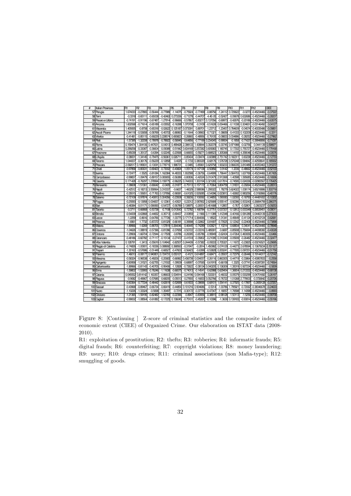| #               | <b>Italian Provinces</b> | R <sub>1</sub> | R <sub>2</sub> | R <sub>3</sub> | R <sub>4</sub> | R <sub>5</sub> | R <sub>6</sub> | R7         | RB           | R <sub>9</sub> | R <sub>10</sub>        | R <sub>11</sub> | R <sub>12</sub> | <b>QEE</b> |
|-----------------|--------------------------|----------------|----------------|----------------|----------------|----------------|----------------|------------|--------------|----------------|------------------------|-----------------|-----------------|------------|
|                 | 57 Perugia               | 1,674033       | $-0.27865$     | $-0.5644$      | $-0.77989$     | $-1.14075$     | $-0.75924$     | $-0.77499$ | $-0.88756$   | $-1.24112$     | 0.729622               | $-0.0273$       | $-0.45234466$   | $-0.37522$ |
|                 | 58 Terri                 | $-0.3318$      | $-0.6511$      | $-0.6500E$     | $-0.4246$      | 0.273336       | $-0.71278$     | $-0.44707$ | $-4.4E - 05$ | $-0.5242$      | $-0.09678$             | 0.632686        | $-0.45234466$   | $-0.28207$ |
|                 | 59 Pesaro e Utoino       | $-0.7419$      | $-0.91196$     | $-0.6748$      | $-1.27914$     | $-0.96666$     | $-0.5786$      | $-0.8321$  | 0.137056     | $-0.6997$      | $-0.42676$             | $-0.20186$      | $-0.45234466$   | $-0.635/5$ |
|                 | 60 Ancona                | 1,602068       | $-0.71614$     | $-0.65186$     | $-0.03552$     | $-0.16398$     | 1.070708       | $-0.3109$  | $-0.5163$    | 0.054466       | $-0.11038$             | 0.30465         | $-0.03146492$   | 0.04127    |
|                 | 61 Macerata              | 1,405935       | $-0.8708$      | $-0.65318$     | $-0.0262$      | 0.125187       | 0.07309        | 0.89701    | $-1.23712$   | $-1.2345$      | 0.784609               | $-0.04574$      | $-0.40035486$   | $-0.0985$  |
|                 | 62 Ascoli Piceno         | 1.244118       | $-0.5365$      | $-0.5876$      | $-0.4570$      | $-0.8696$      | $-0.11644$     | $-0.0896$  | $-0.7132$    | $-1.0865$      | $-0.41033$             | 0.102209        | $-0.45234466$   | $-0.3311$  |
|                 | 63 Viterbo               | $-0.41481$     | $-0.85115$     | $-0.6922$      | 0.228574       | 0.69382        | $-0.26865$     | $-0.48956$ | $-0.76105$   | $-0.0883$      | 0.034886               | $-0.28252$      | -0.45234466     | $-0.27862$ |
|                 | 64 Fieti                 | $-1.5739E$     | $-1.32208$     | $-0.78976$     | $-0.7892$      | $-0.5694E$     | $-0.64856$     | $-0.7719$  | 0.234345     | $-0.9993$      | $-0.1858$              | $-0.71637$      | -0.39948896     | $-0.71097$ |
|                 | 65 Poma                  | 0.159474       | 1.304106       | 0.447631       | $-0.04313$     | 0.499428       | 2.398133       | 1.43884    | 0.302078     | $-0.30745$     | 0.971988               | $-0.02756$      | 0.0441139       | 0.59897    |
| 66              | Latina                   | 0.29925        | $-0.33087$     | $-0.36604$     | $-0.09089$     | $-0.51942$     | 0.634169       | 0.25728    | 0.609383     | 1.180745       | 0.17302                | 0.75572         | 0.45234466      | 0.179168   |
|                 | 67 Frosingne             | $-0.85035$     | $-1.35137$     | $-0.639$       | $-0.02245$     | $-0.20568$     | $-0.6665t$     | $-0.5927$  | 0.68852      | 1.305368       | $-1.14193$             | 4.358048        | -0.45234466     | 0.03576    |
| 68              | L'Aquila                 | $-0.3800$      | $-1.34145$     | $-0.79475$     | $-0.5636$      | 0.026711       | $-0.8543$      | $-0.09474$ | $-0.6098$    | 2.751742       | 0.182311               | 0.60235         | -0.45234466     | $-0.12733$ |
| 69              | Teramo                   | 1.044007       | $-0.36176$     | $-0.5622$      | $-0.12856$     | 0.4025         | $-0.1733$      | 0.38002    | $-0.68176$   | 1,576728       | 0.576348               | 0.584842        | $-0.42558641$   | 0.185932   |
|                 | 70 Pescara               | 209201         | 0.19583        | $-0.13091$     | 0.778715       | 1.998731       | $-0.5485$      | 0.8596     | 0.629758     | 1.933233       | 0.966035               | 3.810489        | $-0.40053463$   | 1.015372   |
|                 | 71 Chieti                | $-0.97858$     | $-0.8063$      | $-0.6942$      | $-0.73002$     | $-0.40824$     | $-1.05174$     | 0.147138   | $-0.50856$   | 0.9142         | $-1.2006$              | $-0.48662$      | $-0.45234466$   | $-0.52133$ |
|                 | 72 Isemia                | $-0.7247$      | $-1.552$       | $-0.81084$     | 1.162384       | 14,48333       | 1,902586       | $-0.36756$ | $-0.64996$   | 1.796447       | 0.584703               | 1.637769        | $-0.45234466$   | 1.417435   |
|                 | 73 Campobasso            | $-0.99837$     | $-1.0947$      | $-0.8915$      | 0.083655       | $-0.56389$     | $-0.80836$     | $-0.42024$ | 0.010479     | 2.913368       | $-1.40598$             | 1,59568         | -0.45234466     | $-0.16936$ |
|                 | 74 Caserta               | 0.171426       | $-0.7629$      | 1.278994       | 0.159775       | $-0.9622$      | 0.744303       | 1.300194   | 0.321265     | 0.617814       | $-0.74595$             | 0.024336        | $-0.02983567$   | 0.176425   |
|                 | 75 Benevento             | $-1.08608$     | $-1.5136$      | $-0.66642$     | $-0.0405$      | $-0.3187$      | $-0.75113$     | 0.15717    | $-0.70364$   | 3.804758       | $-1.3183$ <sup>+</sup> | $-0.2926$       | $-0.45234466$   | $-0.26513$ |
|                 | 76 Napoli                | $-0.42512$     | $-0.1821$      | 3.558964       | 3.31003        | $-0.6637$      | 1.46029        | 2,588086   | 1,29502      | 1,78279        | 0.624022               | 1.008174        | 365218886       | 1.500718   |
| 77              | Avellino                 | $-0.35515$     | $-1.5565$      | $-0.7176$      | 0.137956       | $-0.9658$      | $-0.61025$     | 0.529285   | $-0.54396$   | 0.02381        | $-1.42682$             | 0.983256        | $-0.3192866$    | $-0.40176$ |
| 78              | Salerno                  | $-0.72109$     | $-0.97874$     | $-0.40813$     | 0.304356       | $-0.23506$     | $-0.39206$     | 2.10659    | $-0.34855$   | 1.090083       | $-1.02093$             | $-0.18793$      | $-0.44481652$   | $-0.10302$ |
| 79              | Foggia                   | $-0.2559$      | $-0.13956$     | 0.034837       | $-0.1236$      | $-0.4352$      | $-0.22012$     | 2.08785    | 262568       | 0.555147       | $-0.92386$             | 0.500243        | -0.26894799     | 0.286375   |
|                 | 80 Bari                  | $-0.4838$      | $-0.0117$      | 0.096990       | $-0.5472$      | $-0.56786$     | 0.138975       | $-0.2655$  | 0.451688     | 1.11285        | $-0.767$               | $-0.5280$       | 0.2603237       | $-0.09253$ |
| 81              | Taranto                  | $-0.371$       | $-0.66868$     | $-0.50736$     | $-0.7108$      | 0.013543       | 0.72782        | 1.168784   | $-0.3775$    | 0.037207       | $-0.12812$             | 0.000349        | $-0.26539451$   | $-0.0901$  |
|                 | 82 Brindisi              | $-0.54009$     | $-0.63865$     | $-0.44652$     | $-0.3571$      | $-0.69437$     | 200859         | 2.1966     | 0.11138      | 1.412348       | $-0.40166$             | 0.581289        | 0.04463139      | 0.273033   |
| 83              | Lecce                    | $-1.2256$      | $-0.8616$      | $-0.64766$     | $-0.77726$     | $-1.037/5$     | 0.171714       | 0.364066   | $-1.1852$    | $-1.0134$      | $-0.49649$             | $-0.41124$      | $-0.40102124$   | $-0.6268$  |
|                 | 84 Potenza               | $-1.696$       | $-1.773$       | $-0.8727$      | $-0.8132$      | $-0.6618$      | $-0.39996$     | $-0.3286$  | $-0.8169$    | $-0.7052$      | $-0.12342$             | $-0.22408$      | $-0.45234466$   | $-0.73898$ |
|                 | 85 Matera                | $-1.89966$     | $-1.626$       | $-0.8870$      | $-1.57819$     | 0.264046       | $-0.46445$     | $-0.7428$  | $-0.6362$    | $-1.10214$     | $-0.68834$             | 0.3404          | $-0.45234466$   | $-0.78948$ |
|                 | 86 Cosenza               | $-1.04626$     | $-1.0881$      | $-0.5/396$     | $-0.81396$     | $-0.37656$     | $-0.5072$      | $-0.03316$ | 0.489391     | $-0.669$       | $-0.85938$             | 0.756694        | $-0.44098382$   | $-0.43028$ |
| 87              | Orotone                  | $-1.29906$     | $-1.66704$     | $-0.72944$     | $-0.1750$      | $-0.8786$      | $-0.2639E$     | $-0.65786$ | $-0.99949$   | $-0.6243$      | $-0.47264$             | 0.460656        | $-0.45234466$   | $-0.6466$  |
|                 | 88 Catanzaro             | $-0.48186$     | $-0.82782$     | $-0.71117$     | $-0.15134$     | $-0.27472$     | $-0.41518$     | $-0.35802$ | $-0.21095$   | 0.310349       | $-0.05939$             | $-0.26482$      | $-0.45234466$   | $-0.3247$  |
|                 | 89 Vibo Valentia         | 0.128791       | $-1.341$       | $-0.55619$     | 0.104942       | $-0.82507$     | 0.244439       | $-0.57382$ | $-0.09333$   | 0.70532        | $-1.11672$             | $-0.23825$      | $-0.0021652$    | $-0.29695$ |
|                 | 90 Reggio di Calabria    | $-0.74826$     | $-1.0090$      | $-0.1833$      | 0.088692       | 0.368563       | $-0.3194$      | $-0.2814$  | 1.45098      | 0.074129       | $-0.44273$             | 267859          | 0.13679234      | 0.151127   |
|                 | 91 Trapani               | $-1.30163$     | $-0.57686$     | $-0.51449$     | $-0.6652$      | $-0.47600$     | $-0.5642$      | $-0.6399$  | $-0.53826$   | 0.20024        | $-0.77935$             | 0.09725         | 0.45234466      | $-0.51758$ |
|                 | 92 Palermo               | $-1.46013$     | $-0.0817$      | 0.940801       | 0.72473        | 0.053121       | $-0.412$       | 0.614897   | $-0.6847$    | $-0.3550$      | $-0.72379$             | $-0.26446$      | 0.19144317      | $-0.12142$ |
|                 | 93 Messina               | $-0.5832$      | $-0.96538$     | $-0.49206$     | $-0.2068$      | $-0.66962$     | 0.436739       | 0.03405    | $-0.26116$   | 0.86330        | $-0.44719$             | $-0.3386$       | $-0.4395783$    | $-0.2558$  |
|                 | 94 Agrigento             | $-0.80958$     | $-1.3152$      | $-0.6275E$     | $-1.21502$     | $-1.09509$     | $-0.68997$     | $-0.07065$ | $-0.61919$   | $-0.66158$     | $-1.3325$              | $-0.0774$       | $-0.43397281$   | $-0.74564$ |
|                 | 95 Caltarissetta         | $-1.89966$     | $-0.81143$     | $-0.4070E$     | $-0.95406$     | $-1.12826$     | $-0.7262$      | $-0.38134$ | 0.040205     | 0.136309       | $-1.35019$             | 0.927234        | $-0.45234466$   | $-0.5839$  |
|                 | 96 Ema                   | $-1.59802$     | $-1.53993$     | $-0.76246$     | $-1.11636$     | $-0.66575$     | $-0.74013$     | $-0.1454$  | $-0.62985$   | 0.629454       | $-1.36904$             | 0.21333         | $-0.45234466$   | $-0.68138$ |
|                 | 97 Catania               | 0.04555        | 0.814142       | 1.16335.       | $-0.86600$     | 0.534914       | $-0.24196$     | 0.094168   | 1.53330      | $-0.46032$     | $-0.05079$             | 0.53029         | 0.04701692      | 0.26197    |
|                 | 98 Pagusa                | $-0.9082$      | $-0.49967$     | $-0.57685$     | $-0.68205$     | $-0.05513$     | $-0.2765E$     | $-0.16833$ | 0.052766     | $-0.7672$      | $-1.01268$             | 2.779503        | -0.3726842      | $-0.20726$ |
| 99              | Siracusa                 | $-0.6036$      | $-0.7733$      | $-0.48442$     | $-0.62619$     | $-0.52695$     | $-0.61833$     | $-0.38696$ | $-0.6810$    | 1.05414        | $-0.3792$              | $-0.1789$       | $-0.2659128$    | $-0.3725i$ |
| 100             | Sassari                  | $-0.43965$     | $-0.8946$      | $-0.66734$     | $-0.66419$     | $-0.44854$     | 0.101216       | 0.904686   | $-0.5314$    | $-1.00786$     | 1.795921               | $-0.72062$      | $-0.38346676$   | $-0.24633$ |
| 101             | Nuoro                    | $-1.10226$     | $-1.33324$     | $-0.5835$      | $-1.3549$      | $-0.7215$      | $-0.30172$     | $-0.37776$ | $-0.4734$    | $-1.1805$      | $-1.76598$             | $-1.14396$      | $-0.45234466$   | $-0.8993$  |
| 10 <sup>2</sup> | Oristano                 | $-1.21365$     | $-1.59195$     | $-0.82482$     | $-1.5278$      | $-0.22396$     | $-0.894$       | $-0.8395$  | $-0.38815$   | $-0.98128$     | $-1.50113$             | $-1.5256$       | $-0.45234466$   | $-0.99708$ |
| 103             | Cagliari                 | $-0.99002$     | $-1.08564$     | $-0.61882$     | $-0.1722$      | 0.136045       | $-0.7510$      | $-0.4526$  | $-0.10396$   | $-1,3639$      | 0.139183               | $-0.90814$      | $-0.45234466$   | $-0.55196$ |

Figure 8: [Continuing ] Z-score of criminal statistics and the composite index of economic extent (CIEE) of Organized Crime. Our elaboration on ISTAT data (2008- $2010$ ).

R1: exploitation of prostitution; R2: thefts; R3: robberies; R4: informatic frauds; R5: digital frauds; R6: counterfeiting; R7: copyright violations; R8: money laundering; R9: usury; R10: drugs crimes; R11: criminal associations (non Mafia-type); R12: smuggling of goods.